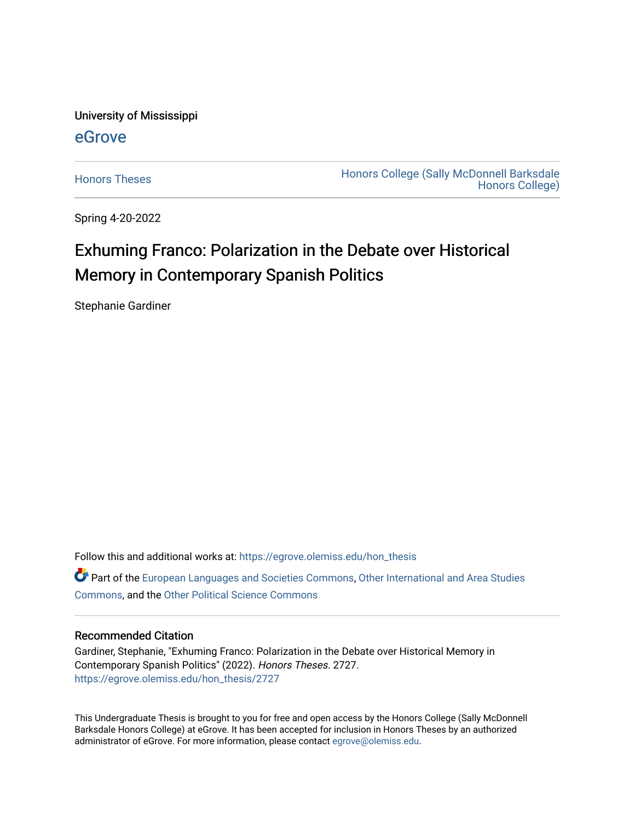University of Mississippi

## [eGrove](https://egrove.olemiss.edu/)

[Honors Theses](https://egrove.olemiss.edu/hon_thesis) **Honors College (Sally McDonnell Barksdale** [Honors College\)](https://egrove.olemiss.edu/honors) 

Spring 4-20-2022

## Exhuming Franco: Polarization in the Debate over Historical Memory in Contemporary Spanish Politics

Stephanie Gardiner

Follow this and additional works at: [https://egrove.olemiss.edu/hon\\_thesis](https://egrove.olemiss.edu/hon_thesis?utm_source=egrove.olemiss.edu%2Fhon_thesis%2F2727&utm_medium=PDF&utm_campaign=PDFCoverPages) 

Part of the [European Languages and Societies Commons,](https://network.bepress.com/hgg/discipline/482?utm_source=egrove.olemiss.edu%2Fhon_thesis%2F2727&utm_medium=PDF&utm_campaign=PDFCoverPages) [Other International and Area Studies](https://network.bepress.com/hgg/discipline/365?utm_source=egrove.olemiss.edu%2Fhon_thesis%2F2727&utm_medium=PDF&utm_campaign=PDFCoverPages)  [Commons](https://network.bepress.com/hgg/discipline/365?utm_source=egrove.olemiss.edu%2Fhon_thesis%2F2727&utm_medium=PDF&utm_campaign=PDFCoverPages), and the [Other Political Science Commons](https://network.bepress.com/hgg/discipline/392?utm_source=egrove.olemiss.edu%2Fhon_thesis%2F2727&utm_medium=PDF&utm_campaign=PDFCoverPages) 

#### Recommended Citation

Gardiner, Stephanie, "Exhuming Franco: Polarization in the Debate over Historical Memory in Contemporary Spanish Politics" (2022). Honors Theses. 2727. [https://egrove.olemiss.edu/hon\\_thesis/2727](https://egrove.olemiss.edu/hon_thesis/2727?utm_source=egrove.olemiss.edu%2Fhon_thesis%2F2727&utm_medium=PDF&utm_campaign=PDFCoverPages) 

This Undergraduate Thesis is brought to you for free and open access by the Honors College (Sally McDonnell Barksdale Honors College) at eGrove. It has been accepted for inclusion in Honors Theses by an authorized administrator of eGrove. For more information, please contact [egrove@olemiss.edu](mailto:egrove@olemiss.edu).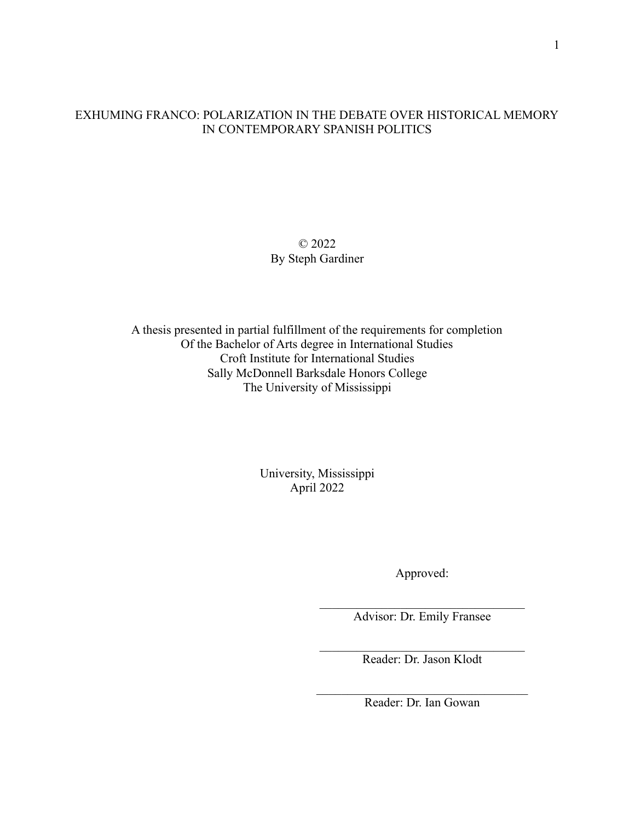## EXHUMING FRANCO: POLARIZATION IN THE DEBATE OVER HISTORICAL MEMORY IN CONTEMPORARY SPANISH POLITICS

### © 2022 By Steph Gardiner

A thesis presented in partial fulfillment of the requirements for completion Of the Bachelor of Arts degree in International Studies Croft Institute for International Studies Sally McDonnell Barksdale Honors College The University of Mississippi

> University, Mississippi April 2022

> > Approved:

 $\mathcal{L}_\text{max}$ Advisor: Dr. Emily Fransee

 $\mathcal{L}_\text{max}$  , where  $\mathcal{L}_\text{max}$  and  $\mathcal{L}_\text{max}$  and  $\mathcal{L}_\text{max}$ Reader: Dr. Jason Klodt

 $\mathcal{L}_\text{max}$  , where  $\mathcal{L}_\text{max}$  and  $\mathcal{L}_\text{max}$  and  $\mathcal{L}_\text{max}$ Reader: Dr. Ian Gowan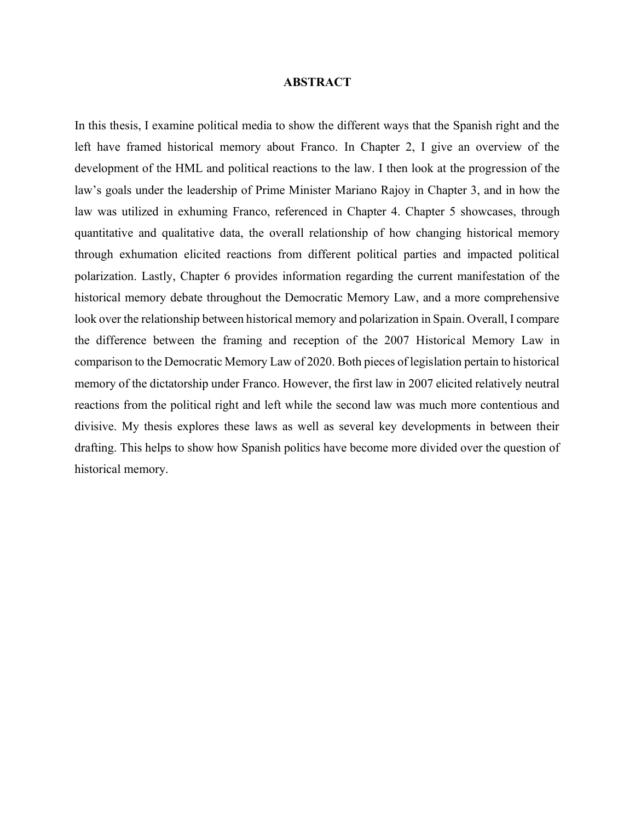#### **ABSTRACT**

In this thesis, I examine political media to show the different ways that the Spanish right and the left have framed historical memory about Franco. In Chapter 2, I give an overview of the development of the HML and political reactions to the law. I then look at the progression of the law's goals under the leadership of Prime Minister Mariano Rajoy in Chapter 3, and in how the law was utilized in exhuming Franco, referenced in Chapter 4. Chapter 5 showcases, through quantitative and qualitative data, the overall relationship of how changing historical memory through exhumation elicited reactions from different political parties and impacted political polarization. Lastly, Chapter 6 provides information regarding the current manifestation of the historical memory debate throughout the Democratic Memory Law, and a more comprehensive look over the relationship between historical memory and polarization in Spain. Overall, I compare the difference between the framing and reception of the 2007 Historical Memory Law in comparison to the Democratic Memory Law of 2020. Both pieces of legislation pertain to historical memory of the dictatorship under Franco. However, the first law in 2007 elicited relatively neutral reactions from the political right and left while the second law was much more contentious and divisive. My thesis explores these laws as well as several key developments in between their drafting. This helps to show how Spanish politics have become more divided over the question of historical memory.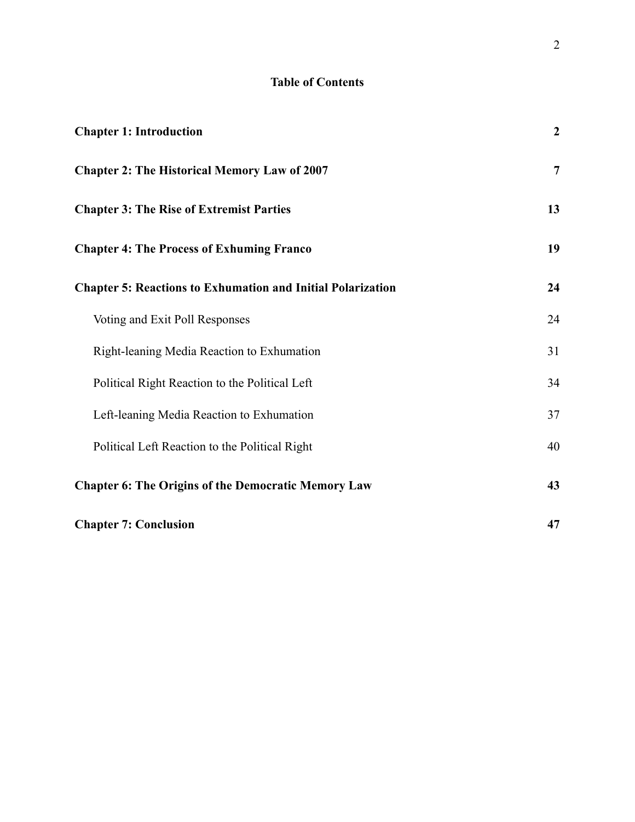## **Table of Contents**

| <b>Chapter 1: Introduction</b>                                     | $\overline{2}$ |
|--------------------------------------------------------------------|----------------|
| <b>Chapter 2: The Historical Memory Law of 2007</b>                | $\overline{7}$ |
| <b>Chapter 3: The Rise of Extremist Parties</b>                    | 13             |
| <b>Chapter 4: The Process of Exhuming Franco</b>                   | 19             |
| <b>Chapter 5: Reactions to Exhumation and Initial Polarization</b> | 24             |
| Voting and Exit Poll Responses                                     | 24             |
| Right-leaning Media Reaction to Exhumation                         | 31             |
| Political Right Reaction to the Political Left                     | 34             |
| Left-leaning Media Reaction to Exhumation                          | 37             |
| Political Left Reaction to the Political Right                     | 40             |
| <b>Chapter 6: The Origins of the Democratic Memory Law</b>         | 43             |
| <b>Chapter 7: Conclusion</b>                                       | 47             |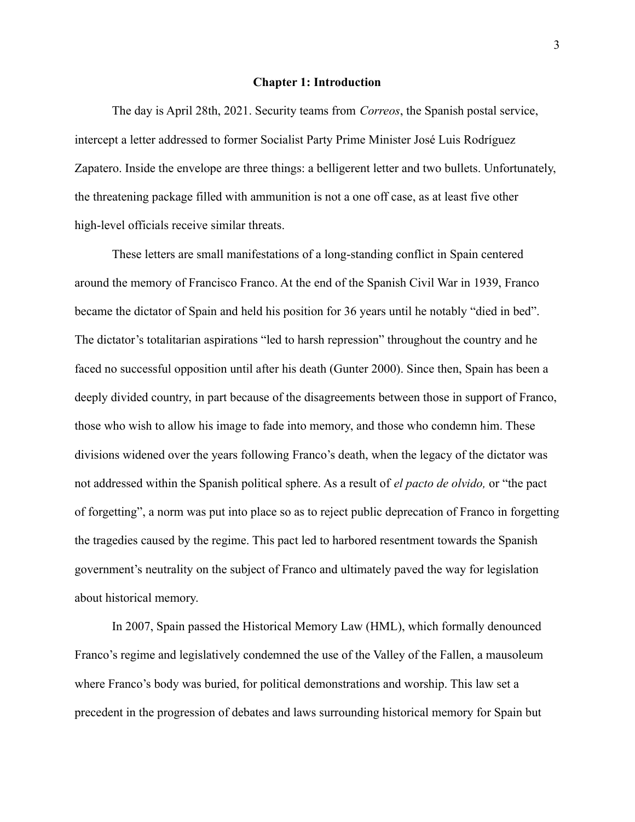#### **Chapter 1: Introduction**

<span id="page-4-0"></span>The day is April 28th, 2021. Security teams from *Correos*, the Spanish postal service, intercept a letter addressed to former Socialist Party Prime Minister José Luis Rodríguez Zapatero. Inside the envelope are three things: a belligerent letter and two bullets. Unfortunately, the threatening package filled with ammunition is not a one off case, as at least five other high-level officials receive similar threats.

These letters are small manifestations of a long-standing conflict in Spain centered around the memory of Francisco Franco. At the end of the Spanish Civil War in 1939, Franco became the dictator of Spain and held his position for 36 years until he notably "died in bed". The dictator's totalitarian aspirations "led to harsh repression" throughout the country and he faced no successful opposition until after his death (Gunter 2000). Since then, Spain has been a deeply divided country, in part because of the disagreements between those in support of Franco, those who wish to allow his image to fade into memory, and those who condemn him. These divisions widened over the years following Franco's death, when the legacy of the dictator was not addressed within the Spanish political sphere. As a result of *el pacto de olvido,* or "the pact of forgetting", a norm was put into place so as to reject public deprecation of Franco in forgetting the tragedies caused by the regime. This pact led to harbored resentment towards the Spanish government's neutrality on the subject of Franco and ultimately paved the way for legislation about historical memory.

In 2007, Spain passed the Historical Memory Law (HML), which formally denounced Franco's regime and legislatively condemned the use of the Valley of the Fallen, a mausoleum where Franco's body was buried, for political demonstrations and worship. This law set a precedent in the progression of debates and laws surrounding historical memory for Spain but

3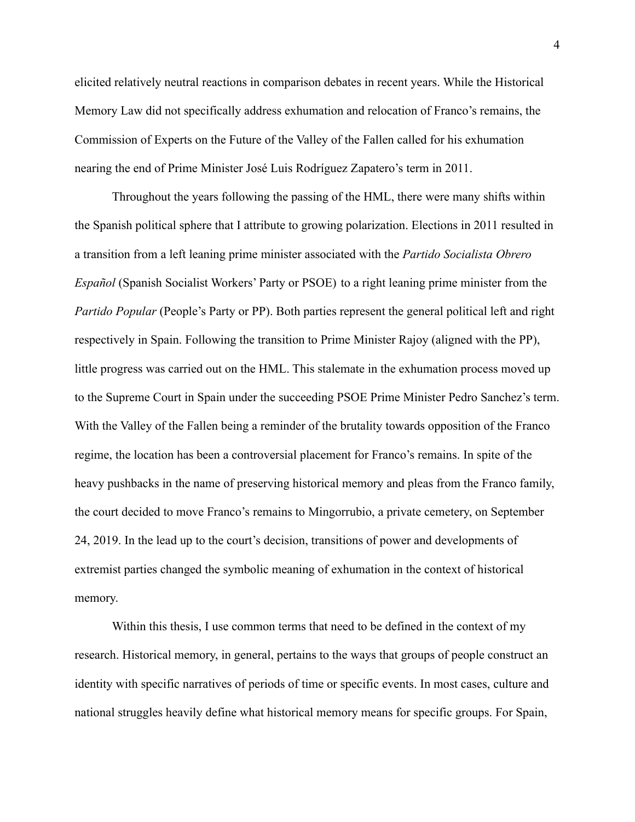elicited relatively neutral reactions in comparison debates in recent years. While the Historical Memory Law did not specifically address exhumation and relocation of Franco's remains, the Commission of Experts on the Future of the Valley of the Fallen called for his exhumation nearing the end of Prime Minister José Luis Rodríguez Zapatero's term in 2011.

Throughout the years following the passing of the HML, there were many shifts within the Spanish political sphere that I attribute to growing polarization. Elections in 2011 resulted in a transition from a left leaning prime minister associated with the *Partido Socialista Obrero Español* (Spanish Socialist Workers' Party or PSOE) to a right leaning prime minister from the *Partido Popular* (People's Party or PP). Both parties represent the general political left and right respectively in Spain. Following the transition to Prime Minister Rajoy (aligned with the PP), little progress was carried out on the HML. This stalemate in the exhumation process moved up to the Supreme Court in Spain under the succeeding PSOE Prime Minister Pedro Sanchez's term. With the Valley of the Fallen being a reminder of the brutality towards opposition of the Franco regime, the location has been a controversial placement for Franco's remains. In spite of the heavy pushbacks in the name of preserving historical memory and pleas from the Franco family, the court decided to move Franco's remains to Mingorrubio, a private cemetery, on September 24, 2019. In the lead up to the court's decision, transitions of power and developments of extremist parties changed the symbolic meaning of exhumation in the context of historical memory.

Within this thesis, I use common terms that need to be defined in the context of my research. Historical memory, in general, pertains to the ways that groups of people construct an identity with specific narratives of periods of time or specific events. In most cases, culture and national struggles heavily define what historical memory means for specific groups. For Spain,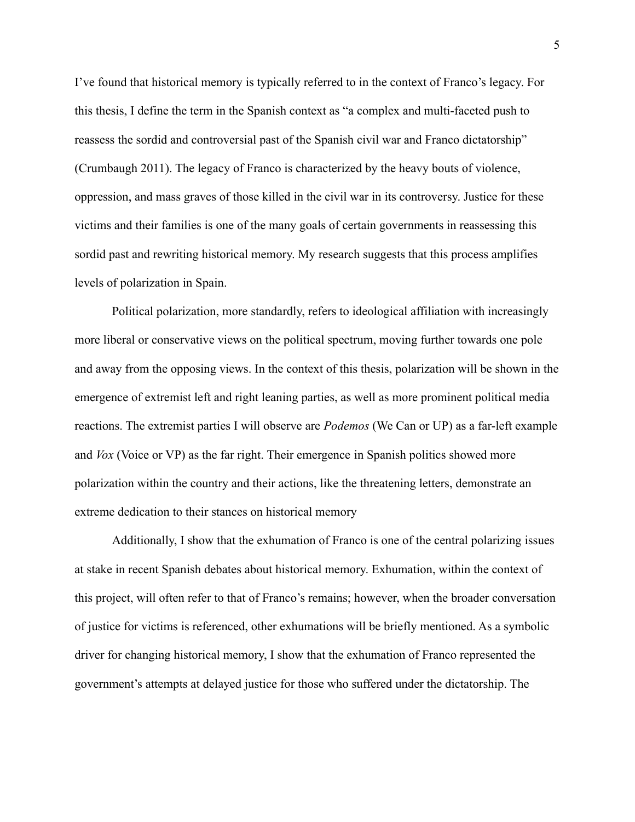I've found that historical memory is typically referred to in the context of Franco's legacy. For this thesis, I define the term in the Spanish context as "a complex and multi-faceted push to reassess the sordid and controversial past of the Spanish civil war and Franco dictatorship" (Crumbaugh 2011). The legacy of Franco is characterized by the heavy bouts of violence, oppression, and mass graves of those killed in the civil war in its controversy. Justice for these victims and their families is one of the many goals of certain governments in reassessing this sordid past and rewriting historical memory. My research suggests that this process amplifies levels of polarization in Spain.

Political polarization, more standardly, refers to ideological affiliation with increasingly more liberal or conservative views on the political spectrum, moving further towards one pole and away from the opposing views. In the context of this thesis, polarization will be shown in the emergence of extremist left and right leaning parties, as well as more prominent political media reactions. The extremist parties I will observe are *Podemos* (We Can or UP) as a far-left example and *Vox* (Voice or VP) as the far right. Their emergence in Spanish politics showed more polarization within the country and their actions, like the threatening letters, demonstrate an extreme dedication to their stances on historical memory

Additionally, I show that the exhumation of Franco is one of the central polarizing issues at stake in recent Spanish debates about historical memory. Exhumation, within the context of this project, will often refer to that of Franco's remains; however, when the broader conversation of justice for victims is referenced, other exhumations will be briefly mentioned. As a symbolic driver for changing historical memory, I show that the exhumation of Franco represented the government's attempts at delayed justice for those who suffered under the dictatorship. The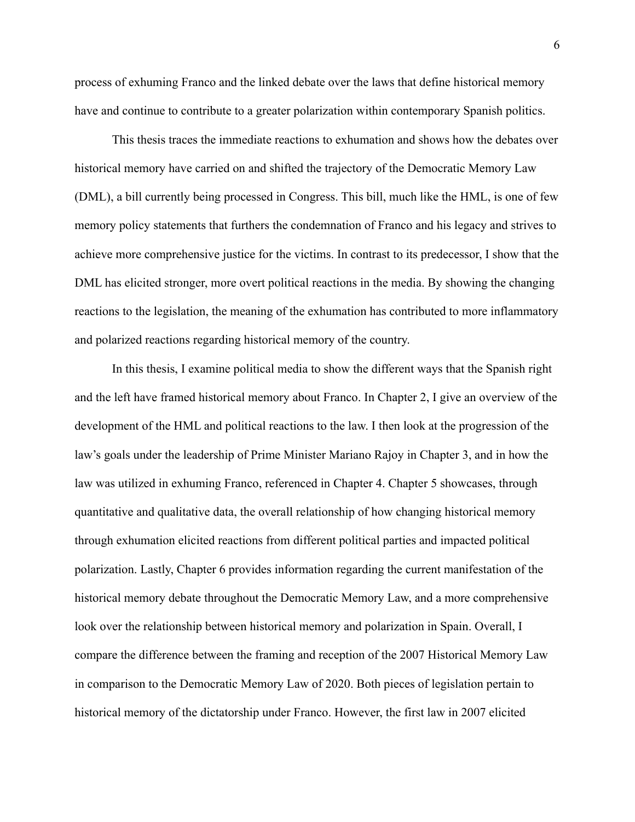process of exhuming Franco and the linked debate over the laws that define historical memory have and continue to contribute to a greater polarization within contemporary Spanish politics.

This thesis traces the immediate reactions to exhumation and shows how the debates over historical memory have carried on and shifted the trajectory of the Democratic Memory Law (DML), a bill currently being processed in Congress. This bill, much like the HML, is one of few memory policy statements that furthers the condemnation of Franco and his legacy and strives to achieve more comprehensive justice for the victims. In contrast to its predecessor, I show that the DML has elicited stronger, more overt political reactions in the media. By showing the changing reactions to the legislation, the meaning of the exhumation has contributed to more inflammatory and polarized reactions regarding historical memory of the country.

In this thesis, I examine political media to show the different ways that the Spanish right and the left have framed historical memory about Franco. In Chapter 2, I give an overview of the development of the HML and political reactions to the law. I then look at the progression of the law's goals under the leadership of Prime Minister Mariano Rajoy in Chapter 3, and in how the law was utilized in exhuming Franco, referenced in Chapter 4. Chapter 5 showcases, through quantitative and qualitative data, the overall relationship of how changing historical memory through exhumation elicited reactions from different political parties and impacted political polarization. Lastly, Chapter 6 provides information regarding the current manifestation of the historical memory debate throughout the Democratic Memory Law, and a more comprehensive look over the relationship between historical memory and polarization in Spain. Overall, I compare the difference between the framing and reception of the 2007 Historical Memory Law in comparison to the Democratic Memory Law of 2020. Both pieces of legislation pertain to historical memory of the dictatorship under Franco. However, the first law in 2007 elicited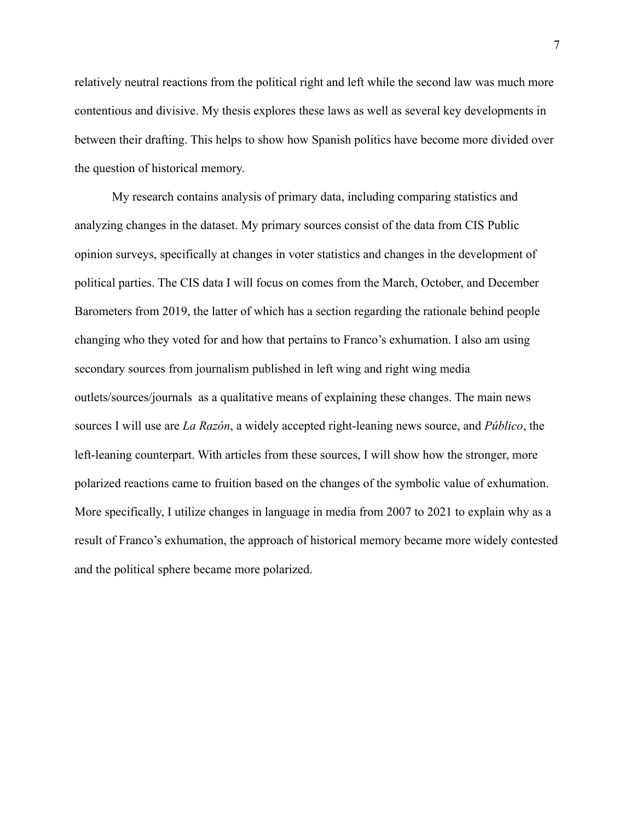relatively neutral reactions from the political right and left while the second law was much more contentious and divisive. My thesis explores these laws as well as several key developments in between their drafting. This helps to show how Spanish politics have become more divided over the question of historical memory.

My research contains analysis of primary data, including comparing statistics and analyzing changes in the dataset. My primary sources consist of the data from CIS Public opinion surveys, specifically at changes in voter statistics and changes in the development of political parties. The CIS data I will focus on comes from the March, October, and December Barometers from 2019, the latter of which has a section regarding the rationale behind people changing who they voted for and how that pertains to Franco's exhumation. I also am using secondary sources from journalism published in left wing and right wing media outlets/sources/journals as a qualitative means of explaining these changes. The main news sources I will use are *La Razón*, a widely accepted right-leaning news source, and *Público*, the left-leaning counterpart. With articles from these sources, I will show how the stronger, more polarized reactions came to fruition based on the changes of the symbolic value of exhumation. More specifically, I utilize changes in language in media from 2007 to 2021 to explain why as a result of Franco's exhumation, the approach of historical memory became more widely contested and the political sphere became more polarized.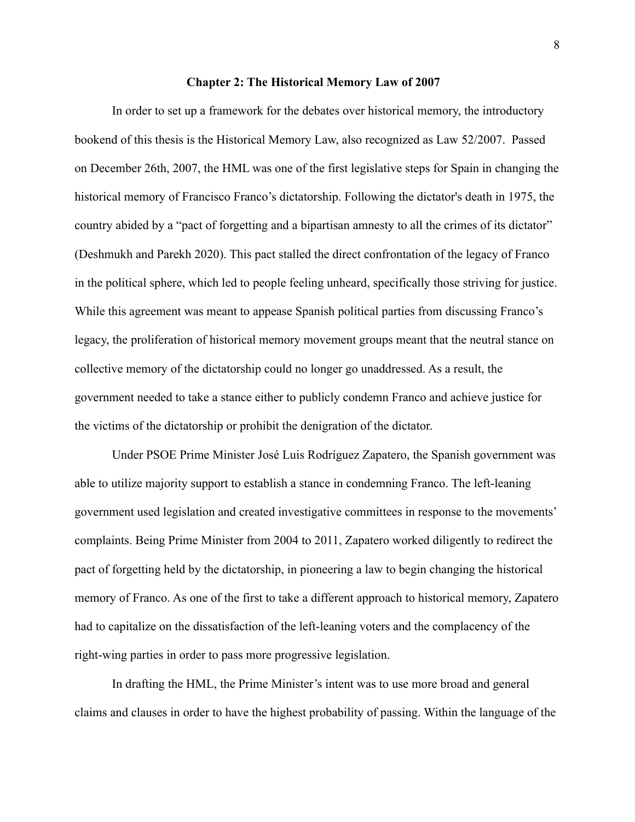#### **Chapter 2: The Historical Memory Law of 2007**

<span id="page-9-0"></span>In order to set up a framework for the debates over historical memory, the introductory bookend of this thesis is the Historical Memory Law, also recognized as Law 52/2007. Passed on December 26th, 2007, the HML was one of the first legislative steps for Spain in changing the historical memory of Francisco Franco's dictatorship. Following the dictator's death in 1975, the country abided by a "pact of forgetting and a bipartisan amnesty to all the crimes of its dictator" (Deshmukh and Parekh 2020). This pact stalled the direct confrontation of the legacy of Franco in the political sphere, which led to people feeling unheard, specifically those striving for justice. While this agreement was meant to appease Spanish political parties from discussing Franco's legacy, the proliferation of historical memory movement groups meant that the neutral stance on collective memory of the dictatorship could no longer go unaddressed. As a result, the government needed to take a stance either to publicly condemn Franco and achieve justice for the victims of the dictatorship or prohibit the denigration of the dictator.

Under PSOE Prime Minister José Luis Rodríguez Zapatero, the Spanish government was able to utilize majority support to establish a stance in condemning Franco. The left-leaning government used legislation and created investigative committees in response to the movements' complaints. Being Prime Minister from 2004 to 2011, Zapatero worked diligently to redirect the pact of forgetting held by the dictatorship, in pioneering a law to begin changing the historical memory of Franco. As one of the first to take a different approach to historical memory, Zapatero had to capitalize on the dissatisfaction of the left-leaning voters and the complacency of the right-wing parties in order to pass more progressive legislation.

In drafting the HML, the Prime Minister's intent was to use more broad and general claims and clauses in order to have the highest probability of passing. Within the language of the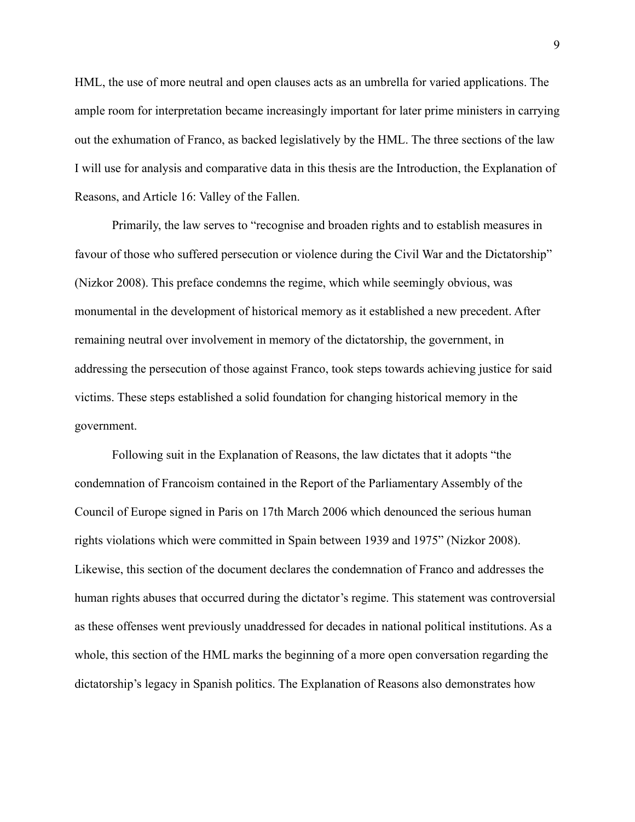HML, the use of more neutral and open clauses acts as an umbrella for varied applications. The ample room for interpretation became increasingly important for later prime ministers in carrying out the exhumation of Franco, as backed legislatively by the HML. The three sections of the law I will use for analysis and comparative data in this thesis are the Introduction, the Explanation of Reasons, and Article 16: Valley of the Fallen.

Primarily, the law serves to "recognise and broaden rights and to establish measures in favour of those who suffered persecution or violence during the Civil War and the Dictatorship" (Nizkor 2008). This preface condemns the regime, which while seemingly obvious, was monumental in the development of historical memory as it established a new precedent. After remaining neutral over involvement in memory of the dictatorship, the government, in addressing the persecution of those against Franco, took steps towards achieving justice for said victims. These steps established a solid foundation for changing historical memory in the government.

Following suit in the Explanation of Reasons, the law dictates that it adopts "the condemnation of Francoism contained in the Report of the Parliamentary Assembly of the Council of Europe signed in Paris on 17th March 2006 which denounced the serious human rights violations which were committed in Spain between 1939 and 1975" (Nizkor 2008). Likewise, this section of the document declares the condemnation of Franco and addresses the human rights abuses that occurred during the dictator's regime. This statement was controversial as these offenses went previously unaddressed for decades in national political institutions. As a whole, this section of the HML marks the beginning of a more open conversation regarding the dictatorship's legacy in Spanish politics. The Explanation of Reasons also demonstrates how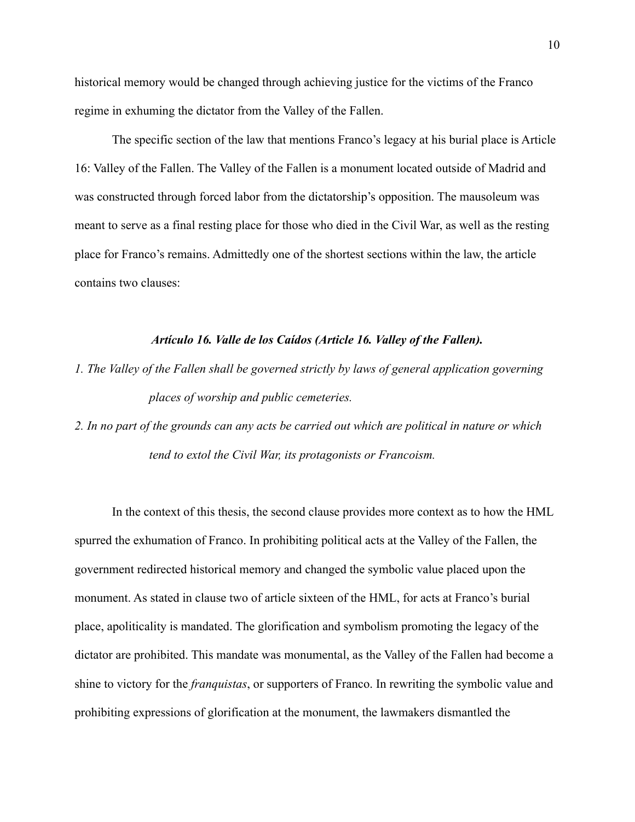historical memory would be changed through achieving justice for the victims of the Franco regime in exhuming the dictator from the Valley of the Fallen.

The specific section of the law that mentions Franco's legacy at his burial place is Article 16: Valley of the Fallen. The Valley of the Fallen is a monument located outside of Madrid and was constructed through forced labor from the dictatorship's opposition. The mausoleum was meant to serve as a final resting place for those who died in the Civil War, as well as the resting place for Franco's remains. Admittedly one of the shortest sections within the law, the article contains two clauses:

#### *Artículo 16. Valle de los Caídos (Article 16. Valley of the Fallen).*

*1. The Valley of the Fallen shall be governed strictly by laws of general application governing places of worship and public cemeteries.*

*2. In no part of the grounds can any acts be carried out which are political in nature or which tend to extol the Civil War, its protagonists or Francoism.*

In the context of this thesis, the second clause provides more context as to how the HML spurred the exhumation of Franco. In prohibiting political acts at the Valley of the Fallen, the government redirected historical memory and changed the symbolic value placed upon the monument. As stated in clause two of article sixteen of the HML, for acts at Franco's burial place, apoliticality is mandated. The glorification and symbolism promoting the legacy of the dictator are prohibited. This mandate was monumental, as the Valley of the Fallen had become a shine to victory for the *franquistas*, or supporters of Franco. In rewriting the symbolic value and prohibiting expressions of glorification at the monument, the lawmakers dismantled the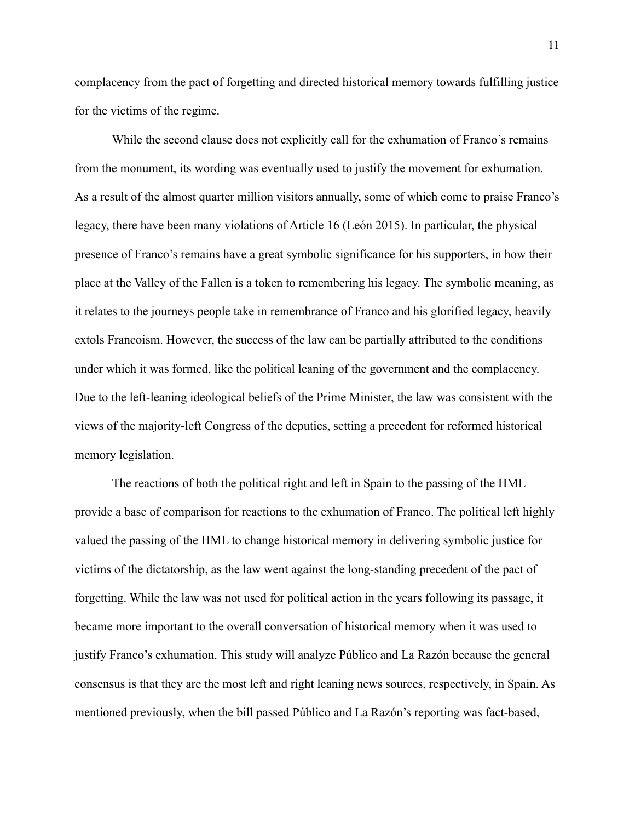complacency from the pact of forgetting and directed historical memory towards fulfilling justice for the victims of the regime.

While the second clause does not explicitly call for the exhumation of Franco's remains from the monument, its wording was eventually used to justify the movement for exhumation. As a result of the almost quarter million visitors annually, some of which come to praise Franco's legacy, there have been many violations of Article 16 (León 2015). In particular, the physical presence of Franco's remains have a great symbolic significance for his supporters, in how their place at the Valley of the Fallen is a token to remembering his legacy. The symbolic meaning, as it relates to the journeys people take in remembrance of Franco and his glorified legacy, heavily extols Francoism. However, the success of the law can be partially attributed to the conditions under which it was formed, like the political leaning of the government and the complacency. Due to the left-leaning ideological beliefs of the Prime Minister, the law was consistent with the views of the majority-left Congress of the deputies, setting a precedent for reformed historical memory legislation.

The reactions of both the political right and left in Spain to the passing of the HML provide a base of comparison for reactions to the exhumation of Franco. The political left highly valued the passing of the HML to change historical memory in delivering symbolic justice for victims of the dictatorship, as the law went against the long-standing precedent of the pact of forgetting. While the law was not used for political action in the years following its passage, it became more important to the overall conversation of historical memory when it was used to justify Franco's exhumation. This study will analyze Público and La Razón because the general consensus is that they are the most left and right leaning news sources, respectively, in Spain. As mentioned previously, when the bill passed Público and La Razón's reporting was fact-based,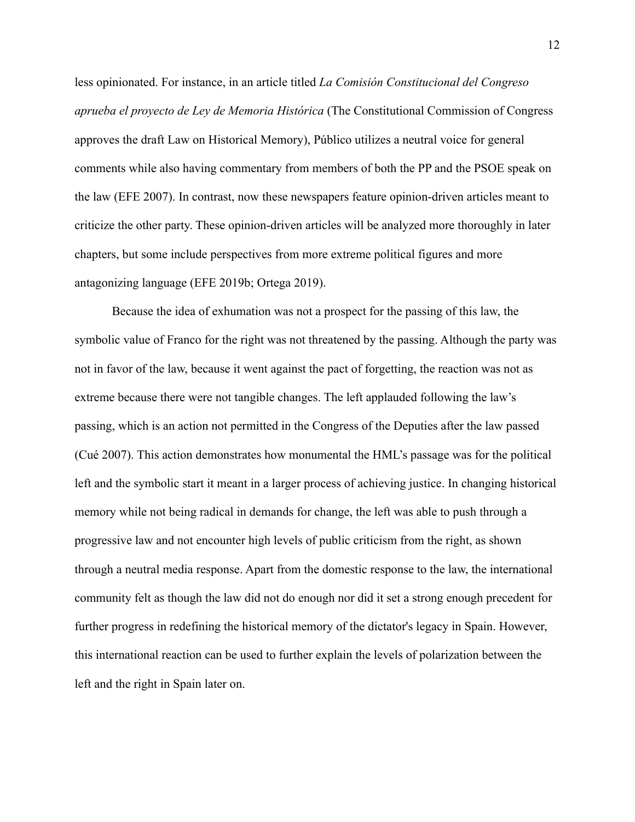less opinionated. For instance, in an article titled *La Comisión Constitucional del Congreso aprueba el proyecto de Ley de Memoria Histórica* (The Constitutional Commission of Congress approves the draft Law on Historical Memory), Público utilizes a neutral voice for general comments while also having commentary from members of both the PP and the PSOE speak on the law (EFE 2007). In contrast, now these newspapers feature opinion-driven articles meant to criticize the other party. These opinion-driven articles will be analyzed more thoroughly in later chapters, but some include perspectives from more extreme political figures and more antagonizing language (EFE 2019b; Ortega 2019).

Because the idea of exhumation was not a prospect for the passing of this law, the symbolic value of Franco for the right was not threatened by the passing. Although the party was not in favor of the law, because it went against the pact of forgetting, the reaction was not as extreme because there were not tangible changes. The left applauded following the law's passing, which is an action not permitted in the Congress of the Deputies after the law passed (Cué 2007). This action demonstrates how monumental the HML's passage was for the political left and the symbolic start it meant in a larger process of achieving justice. In changing historical memory while not being radical in demands for change, the left was able to push through a progressive law and not encounter high levels of public criticism from the right, as shown through a neutral media response. Apart from the domestic response to the law, the international community felt as though the law did not do enough nor did it set a strong enough precedent for further progress in redefining the historical memory of the dictator's legacy in Spain. However, this international reaction can be used to further explain the levels of polarization between the left and the right in Spain later on.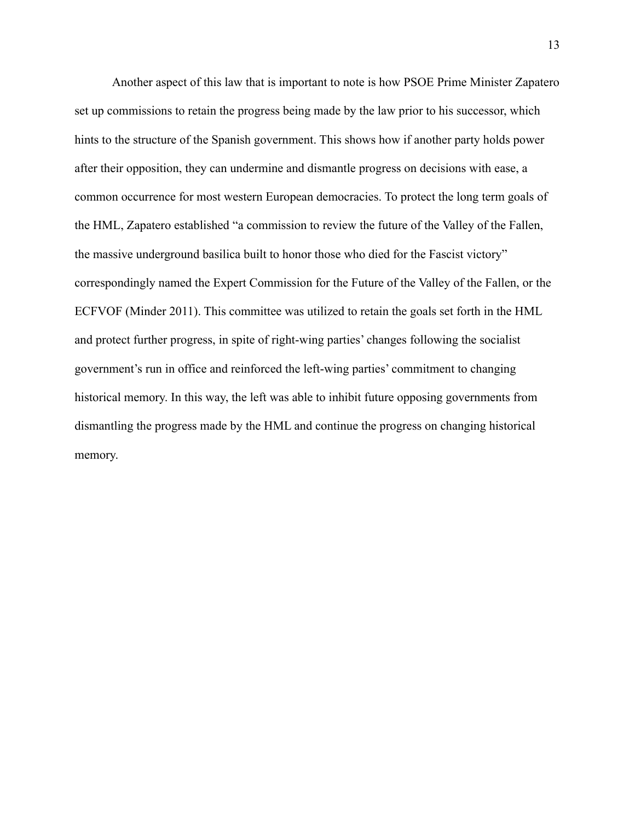Another aspect of this law that is important to note is how PSOE Prime Minister Zapatero set up commissions to retain the progress being made by the law prior to his successor, which hints to the structure of the Spanish government. This shows how if another party holds power after their opposition, they can undermine and dismantle progress on decisions with ease, a common occurrence for most western European democracies. To protect the long term goals of the HML, Zapatero established "a commission to review the future of the Valley of the Fallen, the massive underground basilica built to honor those who died for the Fascist victory" correspondingly named the Expert Commission for the Future of the Valley of the Fallen, or the ECFVOF (Minder 2011). This committee was utilized to retain the goals set forth in the HML and protect further progress, in spite of right-wing parties' changes following the socialist government's run in office and reinforced the left-wing parties' commitment to changing historical memory. In this way, the left was able to inhibit future opposing governments from dismantling the progress made by the HML and continue the progress on changing historical memory.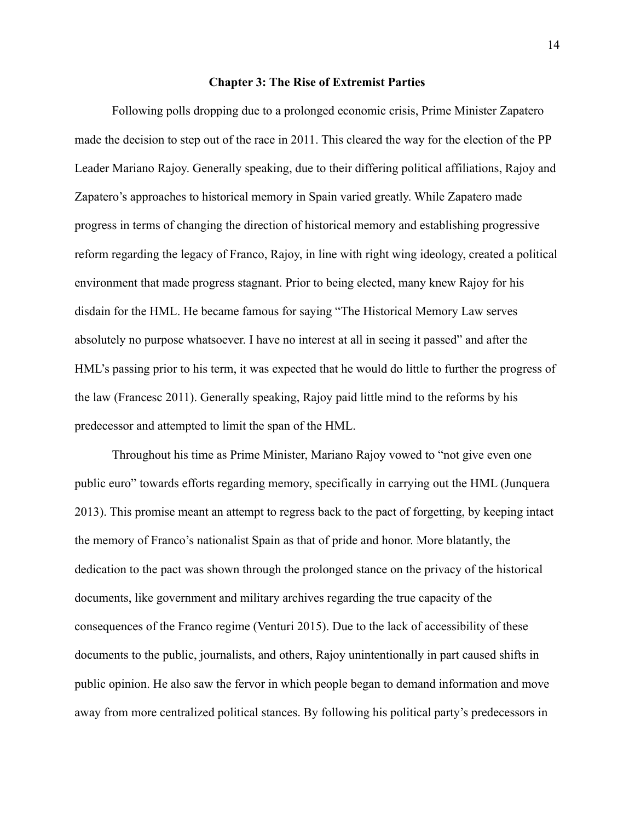#### **Chapter 3: The Rise of Extremist Parties**

<span id="page-15-0"></span>Following polls dropping due to a prolonged economic crisis, Prime Minister Zapatero made the decision to step out of the race in 2011. This cleared the way for the election of the PP Leader Mariano Rajoy. Generally speaking, due to their differing political affiliations, Rajoy and Zapatero's approaches to historical memory in Spain varied greatly. While Zapatero made progress in terms of changing the direction of historical memory and establishing progressive reform regarding the legacy of Franco, Rajoy, in line with right wing ideology, created a political environment that made progress stagnant. Prior to being elected, many knew Rajoy for his disdain for the HML. He became famous for saying "The Historical Memory Law serves absolutely no purpose whatsoever. I have no interest at all in seeing it passed" and after the HML's passing prior to his term, it was expected that he would do little to further the progress of the law (Francesc 2011). Generally speaking, Rajoy paid little mind to the reforms by his predecessor and attempted to limit the span of the HML.

Throughout his time as Prime Minister, Mariano Rajoy vowed to "not give even one public euro" towards efforts regarding memory, specifically in carrying out the HML (Junquera 2013). This promise meant an attempt to regress back to the pact of forgetting, by keeping intact the memory of Franco's nationalist Spain as that of pride and honor. More blatantly, the dedication to the pact was shown through the prolonged stance on the privacy of the historical documents, like government and military archives regarding the true capacity of the consequences of the Franco regime (Venturi 2015). Due to the lack of accessibility of these documents to the public, journalists, and others, Rajoy unintentionally in part caused shifts in public opinion. He also saw the fervor in which people began to demand information and move away from more centralized political stances. By following his political party's predecessors in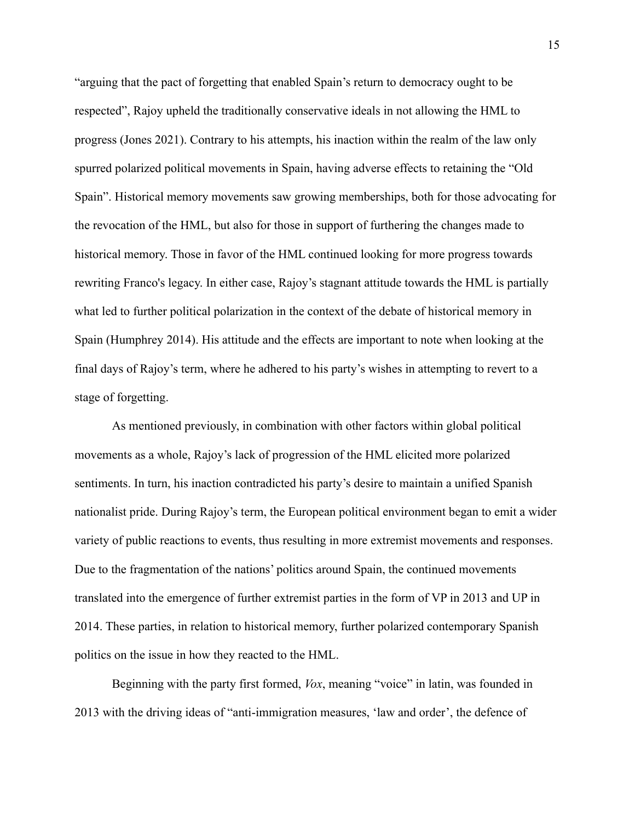"arguing that the pact of forgetting that enabled Spain's return to democracy ought to be respected", Rajoy upheld the traditionally conservative ideals in not allowing the HML to progress (Jones 2021). Contrary to his attempts, his inaction within the realm of the law only spurred polarized political movements in Spain, having adverse effects to retaining the "Old Spain". Historical memory movements saw growing memberships, both for those advocating for the revocation of the HML, but also for those in support of furthering the changes made to historical memory. Those in favor of the HML continued looking for more progress towards rewriting Franco's legacy. In either case, Rajoy's stagnant attitude towards the HML is partially what led to further political polarization in the context of the debate of historical memory in Spain (Humphrey 2014). His attitude and the effects are important to note when looking at the final days of Rajoy's term, where he adhered to his party's wishes in attempting to revert to a stage of forgetting.

As mentioned previously, in combination with other factors within global political movements as a whole, Rajoy's lack of progression of the HML elicited more polarized sentiments. In turn, his inaction contradicted his party's desire to maintain a unified Spanish nationalist pride. During Rajoy's term, the European political environment began to emit a wider variety of public reactions to events, thus resulting in more extremist movements and responses. Due to the fragmentation of the nations' politics around Spain, the continued movements translated into the emergence of further extremist parties in the form of VP in 2013 and UP in 2014. These parties, in relation to historical memory, further polarized contemporary Spanish politics on the issue in how they reacted to the HML.

Beginning with the party first formed, *Vox*, meaning "voice" in latin, was founded in 2013 with the driving ideas of "anti-immigration measures, 'law and order', the defence of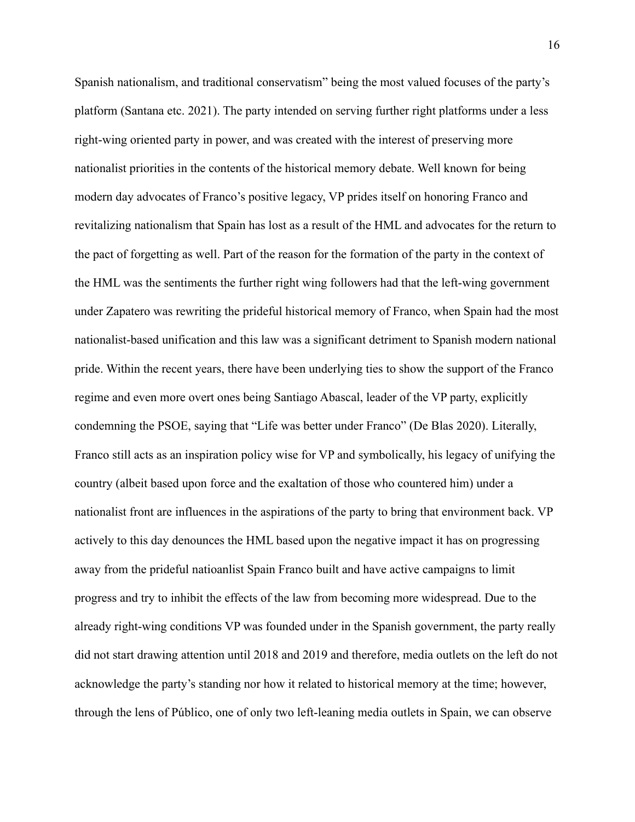Spanish nationalism, and traditional conservatism" being the most valued focuses of the party's platform (Santana etc. 2021). The party intended on serving further right platforms under a less right-wing oriented party in power, and was created with the interest of preserving more nationalist priorities in the contents of the historical memory debate. Well known for being modern day advocates of Franco's positive legacy, VP prides itself on honoring Franco and revitalizing nationalism that Spain has lost as a result of the HML and advocates for the return to the pact of forgetting as well. Part of the reason for the formation of the party in the context of the HML was the sentiments the further right wing followers had that the left-wing government under Zapatero was rewriting the prideful historical memory of Franco, when Spain had the most nationalist-based unification and this law was a significant detriment to Spanish modern national pride. Within the recent years, there have been underlying ties to show the support of the Franco regime and even more overt ones being Santiago Abascal, leader of the VP party, explicitly condemning the PSOE, saying that "Life was better under Franco" (De Blas 2020). Literally, Franco still acts as an inspiration policy wise for VP and symbolically, his legacy of unifying the country (albeit based upon force and the exaltation of those who countered him) under a nationalist front are influences in the aspirations of the party to bring that environment back. VP actively to this day denounces the HML based upon the negative impact it has on progressing away from the prideful natioanlist Spain Franco built and have active campaigns to limit progress and try to inhibit the effects of the law from becoming more widespread. Due to the already right-wing conditions VP was founded under in the Spanish government, the party really did not start drawing attention until 2018 and 2019 and therefore, media outlets on the left do not acknowledge the party's standing nor how it related to historical memory at the time; however, through the lens of Público, one of only two left-leaning media outlets in Spain, we can observe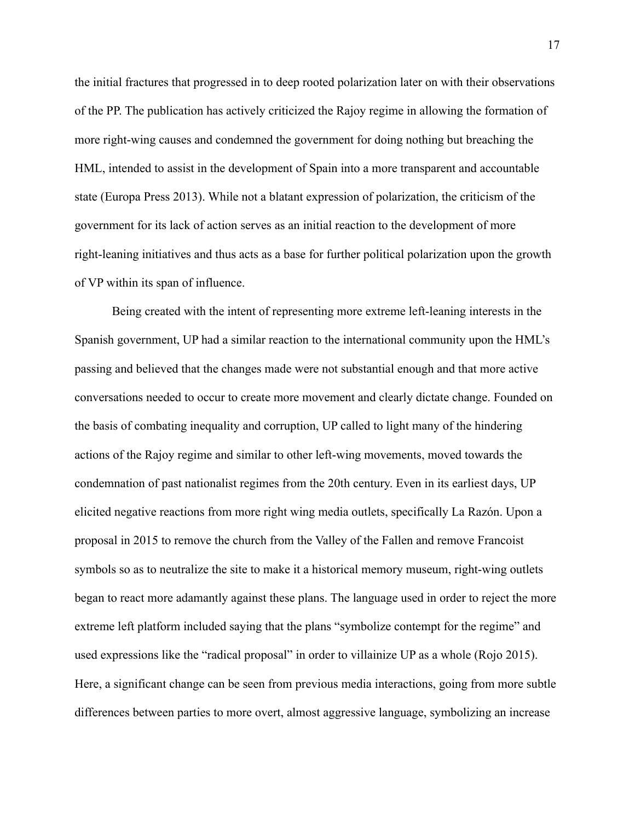the initial fractures that progressed in to deep rooted polarization later on with their observations of the PP. The publication has actively criticized the Rajoy regime in allowing the formation of more right-wing causes and condemned the government for doing nothing but breaching the HML, intended to assist in the development of Spain into a more transparent and accountable state (Europa Press 2013). While not a blatant expression of polarization, the criticism of the government for its lack of action serves as an initial reaction to the development of more right-leaning initiatives and thus acts as a base for further political polarization upon the growth of VP within its span of influence.

Being created with the intent of representing more extreme left-leaning interests in the Spanish government, UP had a similar reaction to the international community upon the HML's passing and believed that the changes made were not substantial enough and that more active conversations needed to occur to create more movement and clearly dictate change. Founded on the basis of combating inequality and corruption, UP called to light many of the hindering actions of the Rajoy regime and similar to other left-wing movements, moved towards the condemnation of past nationalist regimes from the 20th century. Even in its earliest days, UP elicited negative reactions from more right wing media outlets, specifically La Razón. Upon a proposal in 2015 to remove the church from the Valley of the Fallen and remove Francoist symbols so as to neutralize the site to make it a historical memory museum, right-wing outlets began to react more adamantly against these plans. The language used in order to reject the more extreme left platform included saying that the plans "symbolize contempt for the regime" and used expressions like the "radical proposal" in order to villainize UP as a whole (Rojo 2015). Here, a significant change can be seen from previous media interactions, going from more subtle differences between parties to more overt, almost aggressive language, symbolizing an increase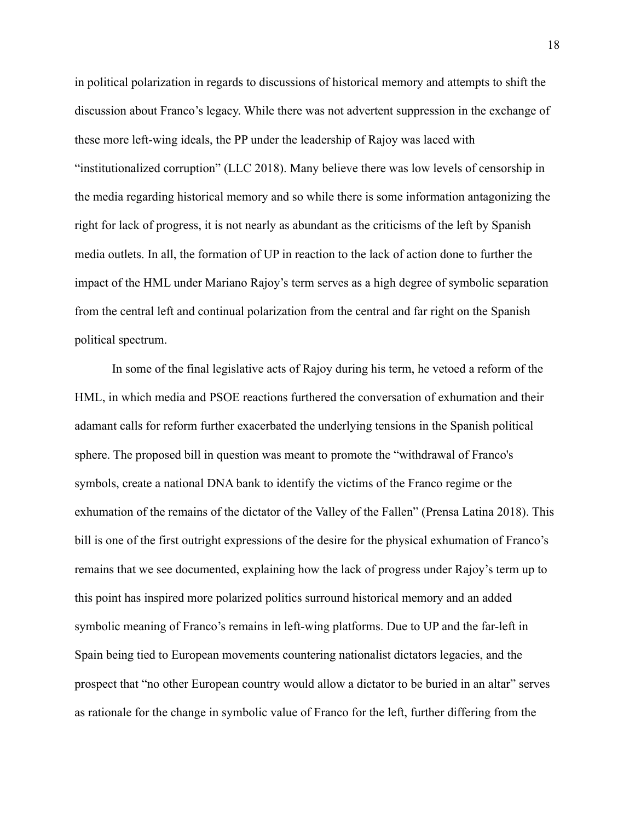in political polarization in regards to discussions of historical memory and attempts to shift the discussion about Franco's legacy. While there was not advertent suppression in the exchange of these more left-wing ideals, the PP under the leadership of Rajoy was laced with "institutionalized corruption" (LLC 2018). Many believe there was low levels of censorship in the media regarding historical memory and so while there is some information antagonizing the right for lack of progress, it is not nearly as abundant as the criticisms of the left by Spanish media outlets. In all, the formation of UP in reaction to the lack of action done to further the impact of the HML under Mariano Rajoy's term serves as a high degree of symbolic separation from the central left and continual polarization from the central and far right on the Spanish political spectrum.

In some of the final legislative acts of Rajoy during his term, he vetoed a reform of the HML, in which media and PSOE reactions furthered the conversation of exhumation and their adamant calls for reform further exacerbated the underlying tensions in the Spanish political sphere. The proposed bill in question was meant to promote the "withdrawal of Franco's symbols, create a national DNA bank to identify the victims of the Franco regime or the exhumation of the remains of the dictator of the Valley of the Fallen" (Prensa Latina 2018). This bill is one of the first outright expressions of the desire for the physical exhumation of Franco's remains that we see documented, explaining how the lack of progress under Rajoy's term up to this point has inspired more polarized politics surround historical memory and an added symbolic meaning of Franco's remains in left-wing platforms. Due to UP and the far-left in Spain being tied to European movements countering nationalist dictators legacies, and the prospect that "no other European country would allow a dictator to be buried in an altar" serves as rationale for the change in symbolic value of Franco for the left, further differing from the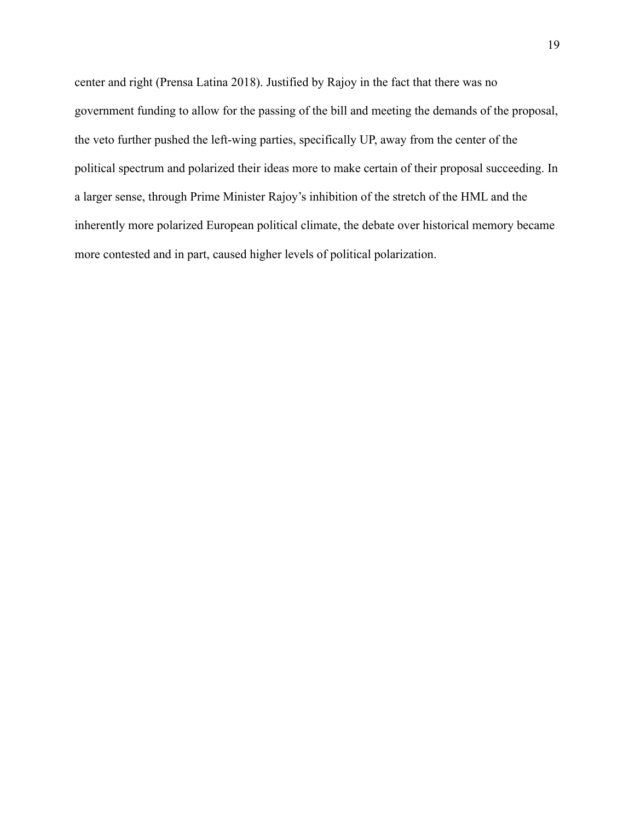center and right (Prensa Latina 2018). Justified by Rajoy in the fact that there was no government funding to allow for the passing of the bill and meeting the demands of the proposal, the veto further pushed the left-wing parties, specifically UP, away from the center of the political spectrum and polarized their ideas more to make certain of their proposal succeeding. In a larger sense, through Prime Minister Rajoy's inhibition of the stretch of the HML and the inherently more polarized European political climate, the debate over historical memory became more contested and in part, caused higher levels of political polarization.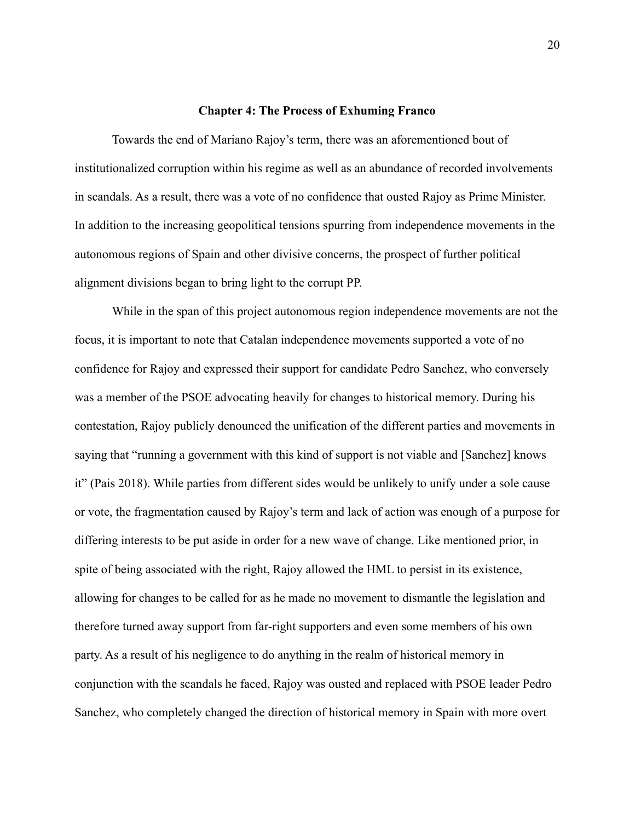#### **Chapter 4: The Process of Exhuming Franco**

<span id="page-21-0"></span>Towards the end of Mariano Rajoy's term, there was an aforementioned bout of institutionalized corruption within his regime as well as an abundance of recorded involvements in scandals. As a result, there was a vote of no confidence that ousted Rajoy as Prime Minister. In addition to the increasing geopolitical tensions spurring from independence movements in the autonomous regions of Spain and other divisive concerns, the prospect of further political alignment divisions began to bring light to the corrupt PP.

While in the span of this project autonomous region independence movements are not the focus, it is important to note that Catalan independence movements supported a vote of no confidence for Rajoy and expressed their support for candidate Pedro Sanchez, who conversely was a member of the PSOE advocating heavily for changes to historical memory. During his contestation, Rajoy publicly denounced the unification of the different parties and movements in saying that "running a government with this kind of support is not viable and [Sanchez] knows it" (Pais 2018). While parties from different sides would be unlikely to unify under a sole cause or vote, the fragmentation caused by Rajoy's term and lack of action was enough of a purpose for differing interests to be put aside in order for a new wave of change. Like mentioned prior, in spite of being associated with the right, Rajoy allowed the HML to persist in its existence, allowing for changes to be called for as he made no movement to dismantle the legislation and therefore turned away support from far-right supporters and even some members of his own party. As a result of his negligence to do anything in the realm of historical memory in conjunction with the scandals he faced, Rajoy was ousted and replaced with PSOE leader Pedro Sanchez, who completely changed the direction of historical memory in Spain with more overt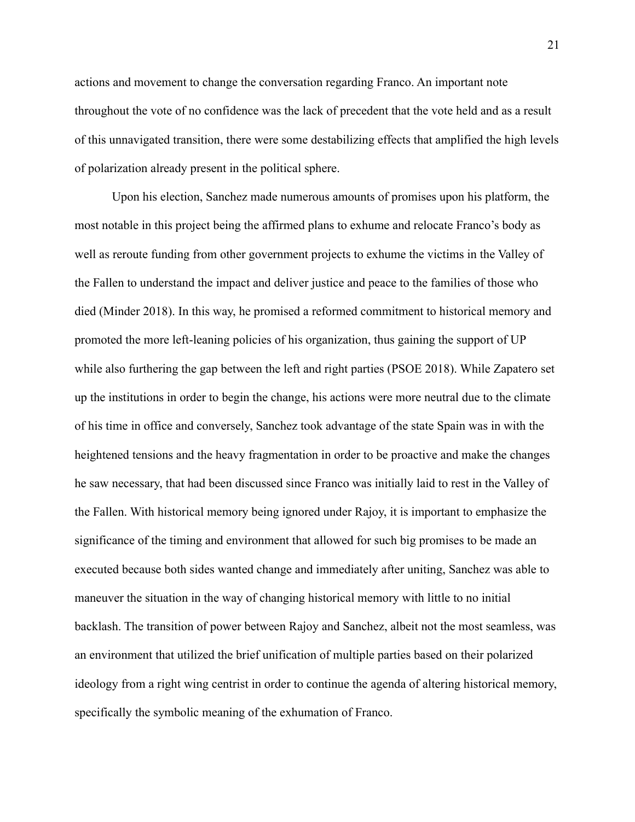actions and movement to change the conversation regarding Franco. An important note throughout the vote of no confidence was the lack of precedent that the vote held and as a result of this unnavigated transition, there were some destabilizing effects that amplified the high levels of polarization already present in the political sphere.

Upon his election, Sanchez made numerous amounts of promises upon his platform, the most notable in this project being the affirmed plans to exhume and relocate Franco's body as well as reroute funding from other government projects to exhume the victims in the Valley of the Fallen to understand the impact and deliver justice and peace to the families of those who died (Minder 2018). In this way, he promised a reformed commitment to historical memory and promoted the more left-leaning policies of his organization, thus gaining the support of UP while also furthering the gap between the left and right parties (PSOE 2018). While Zapatero set up the institutions in order to begin the change, his actions were more neutral due to the climate of his time in office and conversely, Sanchez took advantage of the state Spain was in with the heightened tensions and the heavy fragmentation in order to be proactive and make the changes he saw necessary, that had been discussed since Franco was initially laid to rest in the Valley of the Fallen. With historical memory being ignored under Rajoy, it is important to emphasize the significance of the timing and environment that allowed for such big promises to be made an executed because both sides wanted change and immediately after uniting, Sanchez was able to maneuver the situation in the way of changing historical memory with little to no initial backlash. The transition of power between Rajoy and Sanchez, albeit not the most seamless, was an environment that utilized the brief unification of multiple parties based on their polarized ideology from a right wing centrist in order to continue the agenda of altering historical memory, specifically the symbolic meaning of the exhumation of Franco.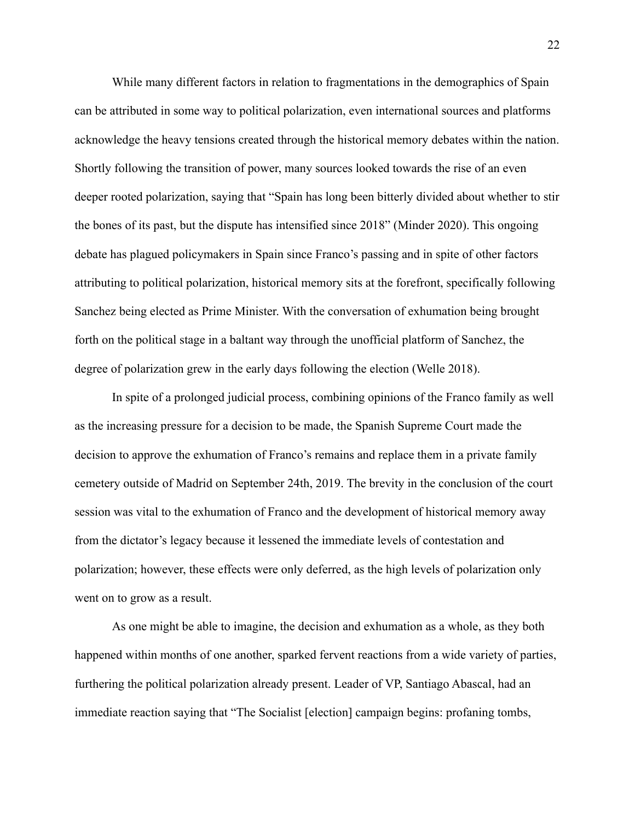While many different factors in relation to fragmentations in the demographics of Spain can be attributed in some way to political polarization, even international sources and platforms acknowledge the heavy tensions created through the historical memory debates within the nation. Shortly following the transition of power, many sources looked towards the rise of an even deeper rooted polarization, saying that "Spain has long been bitterly divided about whether to stir the bones of its past, but the dispute has intensified since 2018" (Minder 2020). This ongoing debate has plagued policymakers in Spain since Franco's passing and in spite of other factors attributing to political polarization, historical memory sits at the forefront, specifically following Sanchez being elected as Prime Minister. With the conversation of exhumation being brought forth on the political stage in a baltant way through the unofficial platform of Sanchez, the degree of polarization grew in the early days following the election (Welle 2018).

In spite of a prolonged judicial process, combining opinions of the Franco family as well as the increasing pressure for a decision to be made, the Spanish Supreme Court made the decision to approve the exhumation of Franco's remains and replace them in a private family cemetery outside of Madrid on September 24th, 2019. The brevity in the conclusion of the court session was vital to the exhumation of Franco and the development of historical memory away from the dictator's legacy because it lessened the immediate levels of contestation and polarization; however, these effects were only deferred, as the high levels of polarization only went on to grow as a result.

As one might be able to imagine, the decision and exhumation as a whole, as they both happened within months of one another, sparked fervent reactions from a wide variety of parties, furthering the political polarization already present. Leader of VP, Santiago Abascal, had an immediate reaction saying that "The Socialist [election] campaign begins: profaning tombs,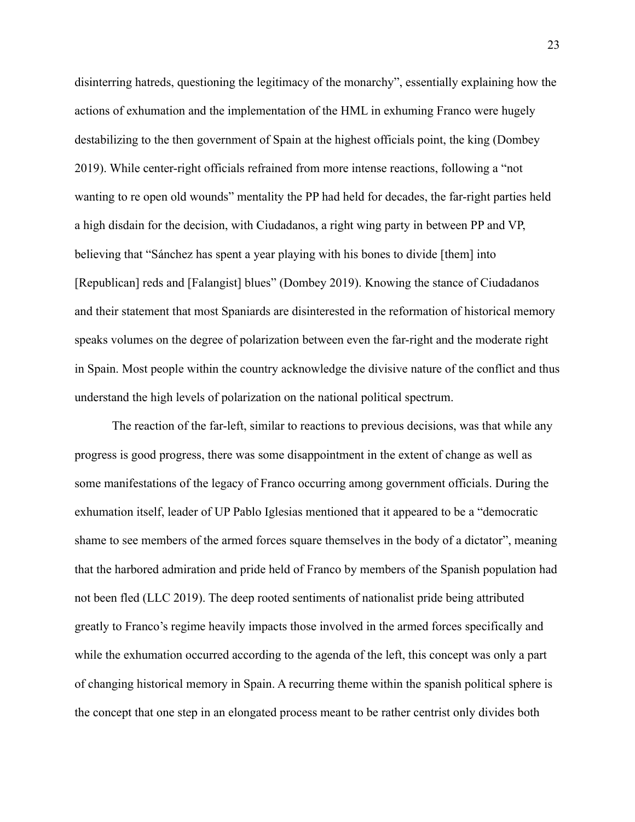disinterring hatreds, questioning the legitimacy of the monarchy", essentially explaining how the actions of exhumation and the implementation of the HML in exhuming Franco were hugely destabilizing to the then government of Spain at the highest officials point, the king (Dombey 2019). While center-right officials refrained from more intense reactions, following a "not wanting to re open old wounds" mentality the PP had held for decades, the far-right parties held a high disdain for the decision, with Ciudadanos, a right wing party in between PP and VP, believing that "Sánchez has spent a year playing with his bones to divide [them] into [Republican] reds and [Falangist] blues" (Dombey 2019). Knowing the stance of Ciudadanos and their statement that most Spaniards are disinterested in the reformation of historical memory speaks volumes on the degree of polarization between even the far-right and the moderate right in Spain. Most people within the country acknowledge the divisive nature of the conflict and thus understand the high levels of polarization on the national political spectrum.

The reaction of the far-left, similar to reactions to previous decisions, was that while any progress is good progress, there was some disappointment in the extent of change as well as some manifestations of the legacy of Franco occurring among government officials. During the exhumation itself, leader of UP Pablo Iglesias mentioned that it appeared to be a "democratic shame to see members of the armed forces square themselves in the body of a dictator", meaning that the harbored admiration and pride held of Franco by members of the Spanish population had not been fled (LLC 2019). The deep rooted sentiments of nationalist pride being attributed greatly to Franco's regime heavily impacts those involved in the armed forces specifically and while the exhumation occurred according to the agenda of the left, this concept was only a part of changing historical memory in Spain. A recurring theme within the spanish political sphere is the concept that one step in an elongated process meant to be rather centrist only divides both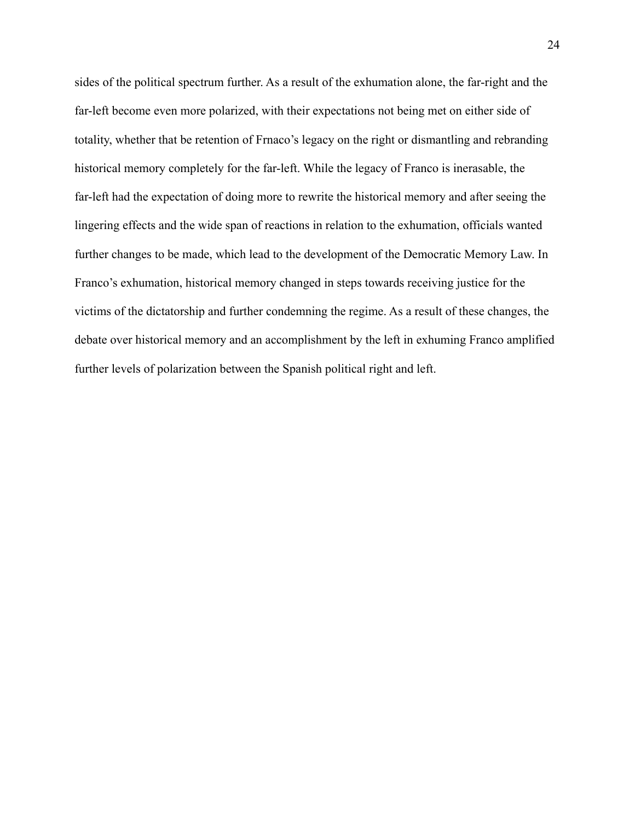sides of the political spectrum further. As a result of the exhumation alone, the far-right and the far-left become even more polarized, with their expectations not being met on either side of totality, whether that be retention of Frnaco's legacy on the right or dismantling and rebranding historical memory completely for the far-left. While the legacy of Franco is inerasable, the far-left had the expectation of doing more to rewrite the historical memory and after seeing the lingering effects and the wide span of reactions in relation to the exhumation, officials wanted further changes to be made, which lead to the development of the Democratic Memory Law. In Franco's exhumation, historical memory changed in steps towards receiving justice for the victims of the dictatorship and further condemning the regime. As a result of these changes, the debate over historical memory and an accomplishment by the left in exhuming Franco amplified further levels of polarization between the Spanish political right and left.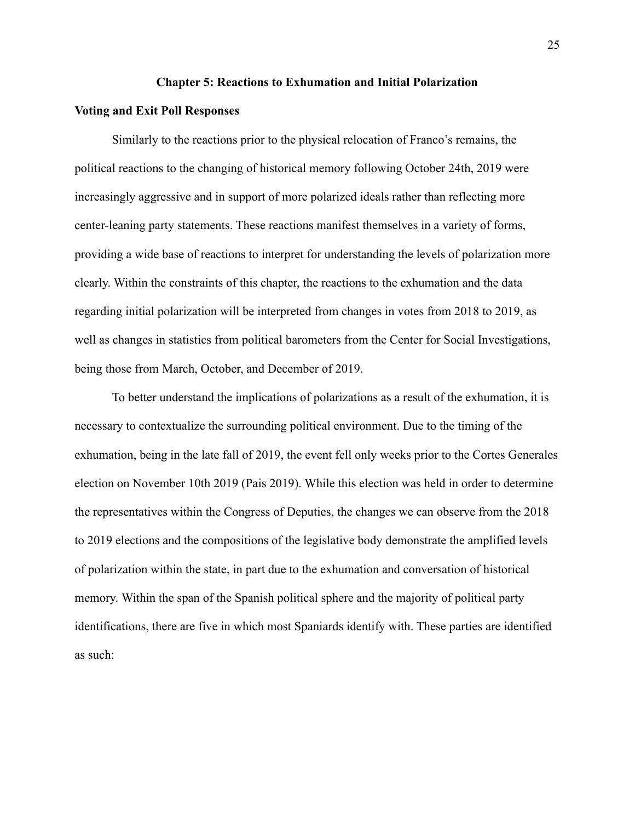#### **Chapter 5: Reactions to Exhumation and Initial Polarization**

#### <span id="page-26-1"></span><span id="page-26-0"></span>**Voting and Exit Poll Responses**

Similarly to the reactions prior to the physical relocation of Franco's remains, the political reactions to the changing of historical memory following October 24th, 2019 were increasingly aggressive and in support of more polarized ideals rather than reflecting more center-leaning party statements. These reactions manifest themselves in a variety of forms, providing a wide base of reactions to interpret for understanding the levels of polarization more clearly. Within the constraints of this chapter, the reactions to the exhumation and the data regarding initial polarization will be interpreted from changes in votes from 2018 to 2019, as well as changes in statistics from political barometers from the Center for Social Investigations, being those from March, October, and December of 2019.

To better understand the implications of polarizations as a result of the exhumation, it is necessary to contextualize the surrounding political environment. Due to the timing of the exhumation, being in the late fall of 2019, the event fell only weeks prior to the Cortes Generales election on November 10th 2019 (Pais 2019). While this election was held in order to determine the representatives within the Congress of Deputies, the changes we can observe from the 2018 to 2019 elections and the compositions of the legislative body demonstrate the amplified levels of polarization within the state, in part due to the exhumation and conversation of historical memory. Within the span of the Spanish political sphere and the majority of political party identifications, there are five in which most Spaniards identify with. These parties are identified as such: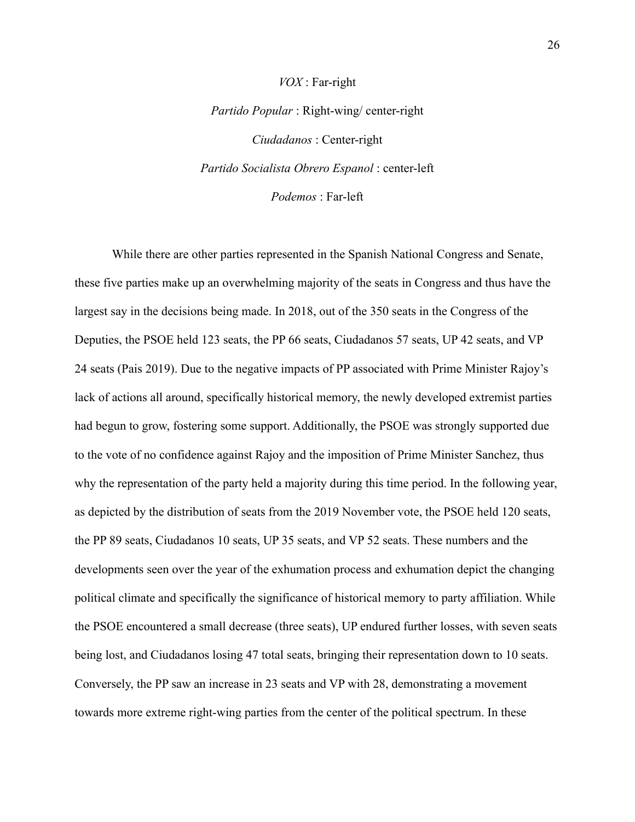# *Partido Popular* : Right-wing/ center-right *Ciudadanos* : Center-right *Partido Socialista Obrero Espanol* : center-left *Podemos* : Far-left

*VOX* : Far-right

While there are other parties represented in the Spanish National Congress and Senate, these five parties make up an overwhelming majority of the seats in Congress and thus have the largest say in the decisions being made. In 2018, out of the 350 seats in the Congress of the Deputies, the PSOE held 123 seats, the PP 66 seats, Ciudadanos 57 seats, UP 42 seats, and VP 24 seats (Pais 2019). Due to the negative impacts of PP associated with Prime Minister Rajoy's lack of actions all around, specifically historical memory, the newly developed extremist parties had begun to grow, fostering some support. Additionally, the PSOE was strongly supported due to the vote of no confidence against Rajoy and the imposition of Prime Minister Sanchez, thus why the representation of the party held a majority during this time period. In the following year, as depicted by the distribution of seats from the 2019 November vote, the PSOE held 120 seats, the PP 89 seats, Ciudadanos 10 seats, UP 35 seats, and VP 52 seats. These numbers and the developments seen over the year of the exhumation process and exhumation depict the changing political climate and specifically the significance of historical memory to party affiliation. While the PSOE encountered a small decrease (three seats), UP endured further losses, with seven seats being lost, and Ciudadanos losing 47 total seats, bringing their representation down to 10 seats. Conversely, the PP saw an increase in 23 seats and VP with 28, demonstrating a movement towards more extreme right-wing parties from the center of the political spectrum. In these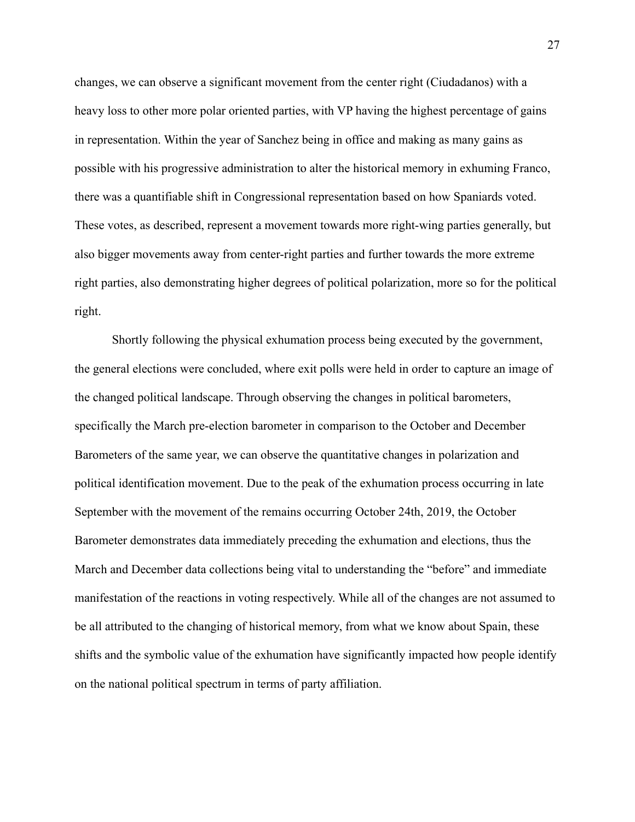changes, we can observe a significant movement from the center right (Ciudadanos) with a heavy loss to other more polar oriented parties, with VP having the highest percentage of gains in representation. Within the year of Sanchez being in office and making as many gains as possible with his progressive administration to alter the historical memory in exhuming Franco, there was a quantifiable shift in Congressional representation based on how Spaniards voted. These votes, as described, represent a movement towards more right-wing parties generally, but also bigger movements away from center-right parties and further towards the more extreme right parties, also demonstrating higher degrees of political polarization, more so for the political right.

Shortly following the physical exhumation process being executed by the government, the general elections were concluded, where exit polls were held in order to capture an image of the changed political landscape. Through observing the changes in political barometers, specifically the March pre-election barometer in comparison to the October and December Barometers of the same year, we can observe the quantitative changes in polarization and political identification movement. Due to the peak of the exhumation process occurring in late September with the movement of the remains occurring October 24th, 2019, the October Barometer demonstrates data immediately preceding the exhumation and elections, thus the March and December data collections being vital to understanding the "before" and immediate manifestation of the reactions in voting respectively. While all of the changes are not assumed to be all attributed to the changing of historical memory, from what we know about Spain, these shifts and the symbolic value of the exhumation have significantly impacted how people identify on the national political spectrum in terms of party affiliation.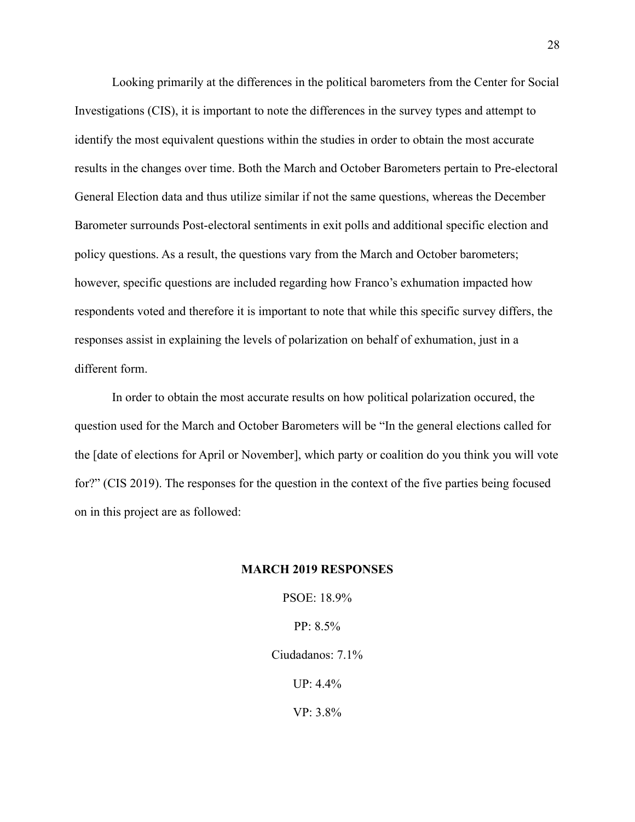Looking primarily at the differences in the political barometers from the Center for Social Investigations (CIS), it is important to note the differences in the survey types and attempt to identify the most equivalent questions within the studies in order to obtain the most accurate results in the changes over time. Both the March and October Barometers pertain to Pre-electoral General Election data and thus utilize similar if not the same questions, whereas the December Barometer surrounds Post-electoral sentiments in exit polls and additional specific election and policy questions. As a result, the questions vary from the March and October barometers; however, specific questions are included regarding how Franco's exhumation impacted how respondents voted and therefore it is important to note that while this specific survey differs, the responses assist in explaining the levels of polarization on behalf of exhumation, just in a different form.

In order to obtain the most accurate results on how political polarization occured, the question used for the March and October Barometers will be "In the general elections called for the [date of elections for April or November], which party or coalition do you think you will vote for?" (CIS 2019). The responses for the question in the context of the five parties being focused on in this project are as followed:

#### **MARCH 2019 RESPONSES**

PSOE: 18.9% PP: 8.5% Ciudadanos: 7.1%

UP: 4.4%

VP: 3.8%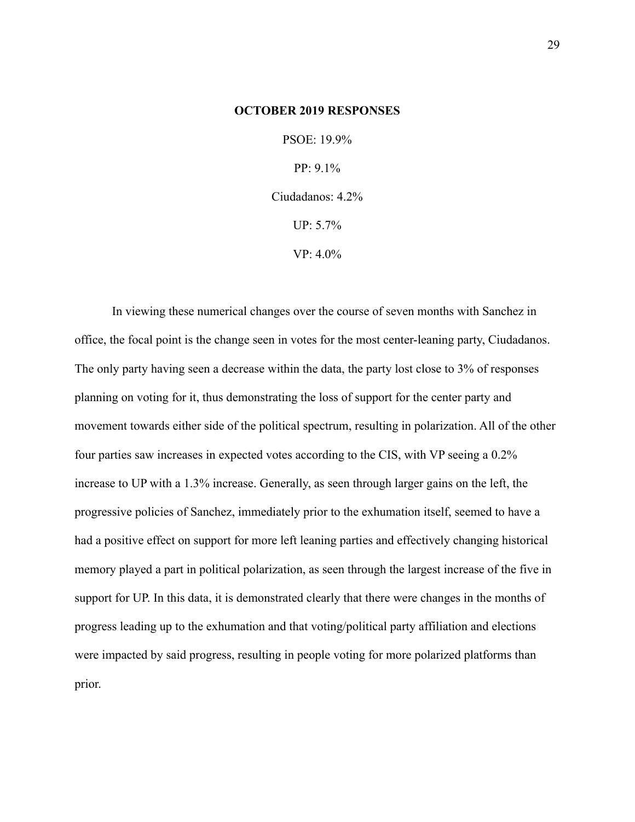#### **OCTOBER 2019 RESPONSES**

PSOE: 19.9% PP: 9.1% Ciudadanos: 4.2% UP: 5.7% VP: 4.0%

In viewing these numerical changes over the course of seven months with Sanchez in office, the focal point is the change seen in votes for the most center-leaning party, Ciudadanos. The only party having seen a decrease within the data, the party lost close to 3% of responses planning on voting for it, thus demonstrating the loss of support for the center party and movement towards either side of the political spectrum, resulting in polarization. All of the other four parties saw increases in expected votes according to the CIS, with VP seeing a 0.2% increase to UP with a 1.3% increase. Generally, as seen through larger gains on the left, the progressive policies of Sanchez, immediately prior to the exhumation itself, seemed to have a had a positive effect on support for more left leaning parties and effectively changing historical memory played a part in political polarization, as seen through the largest increase of the five in support for UP. In this data, it is demonstrated clearly that there were changes in the months of progress leading up to the exhumation and that voting/political party affiliation and elections were impacted by said progress, resulting in people voting for more polarized platforms than prior.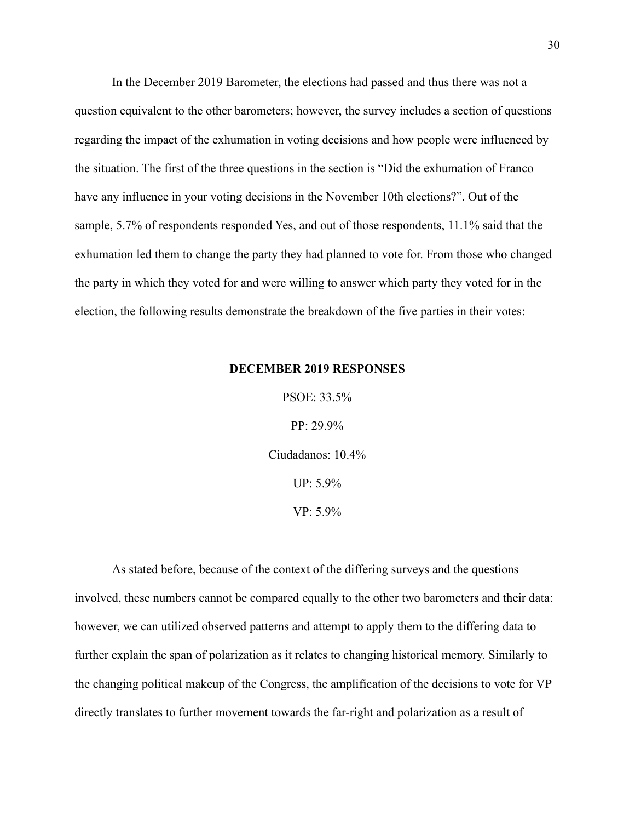In the December 2019 Barometer, the elections had passed and thus there was not a question equivalent to the other barometers; however, the survey includes a section of questions regarding the impact of the exhumation in voting decisions and how people were influenced by the situation. The first of the three questions in the section is "Did the exhumation of Franco have any influence in your voting decisions in the November 10th elections?". Out of the sample, 5.7% of respondents responded Yes, and out of those respondents, 11.1% said that the exhumation led them to change the party they had planned to vote for. From those who changed the party in which they voted for and were willing to answer which party they voted for in the election, the following results demonstrate the breakdown of the five parties in their votes:

#### **DECEMBER 2019 RESPONSES**

PSOE: 33.5% PP: 29.9% Ciudadanos: 10.4% UP: 5.9% VP: 5.9%

As stated before, because of the context of the differing surveys and the questions involved, these numbers cannot be compared equally to the other two barometers and their data: however, we can utilized observed patterns and attempt to apply them to the differing data to further explain the span of polarization as it relates to changing historical memory. Similarly to the changing political makeup of the Congress, the amplification of the decisions to vote for VP directly translates to further movement towards the far-right and polarization as a result of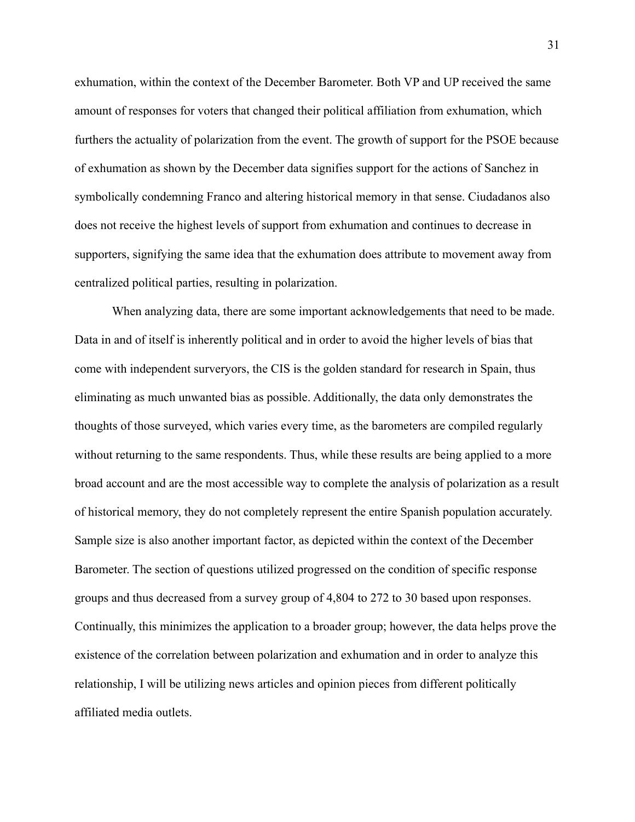exhumation, within the context of the December Barometer. Both VP and UP received the same amount of responses for voters that changed their political affiliation from exhumation, which furthers the actuality of polarization from the event. The growth of support for the PSOE because of exhumation as shown by the December data signifies support for the actions of Sanchez in symbolically condemning Franco and altering historical memory in that sense. Ciudadanos also does not receive the highest levels of support from exhumation and continues to decrease in supporters, signifying the same idea that the exhumation does attribute to movement away from centralized political parties, resulting in polarization.

When analyzing data, there are some important acknowledgements that need to be made. Data in and of itself is inherently political and in order to avoid the higher levels of bias that come with independent surveryors, the CIS is the golden standard for research in Spain, thus eliminating as much unwanted bias as possible. Additionally, the data only demonstrates the thoughts of those surveyed, which varies every time, as the barometers are compiled regularly without returning to the same respondents. Thus, while these results are being applied to a more broad account and are the most accessible way to complete the analysis of polarization as a result of historical memory, they do not completely represent the entire Spanish population accurately. Sample size is also another important factor, as depicted within the context of the December Barometer. The section of questions utilized progressed on the condition of specific response groups and thus decreased from a survey group of 4,804 to 272 to 30 based upon responses. Continually, this minimizes the application to a broader group; however, the data helps prove the existence of the correlation between polarization and exhumation and in order to analyze this relationship, I will be utilizing news articles and opinion pieces from different politically affiliated media outlets.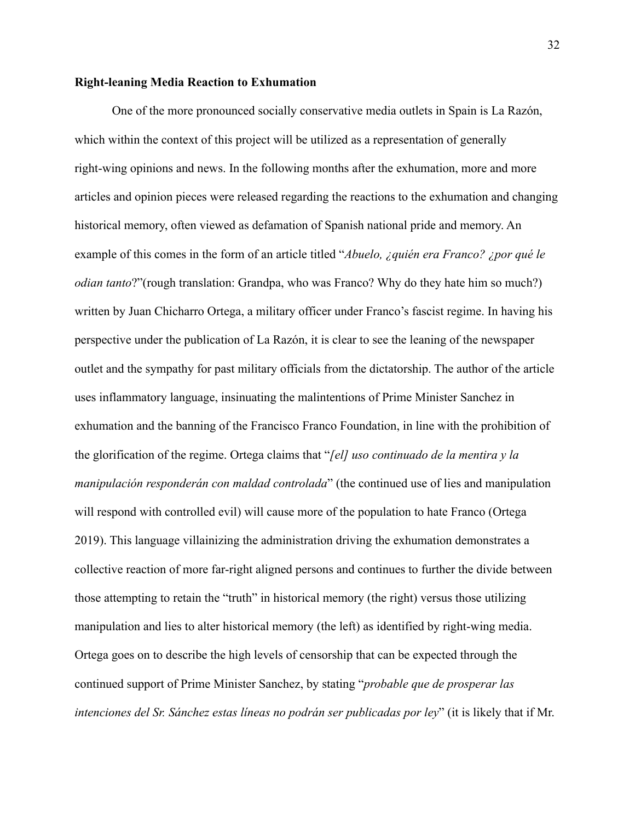#### <span id="page-33-0"></span>**Right-leaning Media Reaction to Exhumation**

One of the more pronounced socially conservative media outlets in Spain is La Razón, which within the context of this project will be utilized as a representation of generally right-wing opinions and news. In the following months after the exhumation, more and more articles and opinion pieces were released regarding the reactions to the exhumation and changing historical memory, often viewed as defamation of Spanish national pride and memory. An example of this comes in the form of an article titled "*Abuelo, ¿quién era Franco? ¿por qué le odian tanto*?"(rough translation: Grandpa, who was Franco? Why do they hate him so much?) written by Juan Chicharro Ortega, a military officer under Franco's fascist regime. In having his perspective under the publication of La Razón, it is clear to see the leaning of the newspaper outlet and the sympathy for past military officials from the dictatorship. The author of the article uses inflammatory language, insinuating the malintentions of Prime Minister Sanchez in exhumation and the banning of the Francisco Franco Foundation, in line with the prohibition of the glorification of the regime. Ortega claims that "*[el] uso continuado de la mentira y la manipulación responderán con maldad controlada*" (the continued use of lies and manipulation will respond with controlled evil) will cause more of the population to hate Franco (Ortega 2019). This language villainizing the administration driving the exhumation demonstrates a collective reaction of more far-right aligned persons and continues to further the divide between those attempting to retain the "truth" in historical memory (the right) versus those utilizing manipulation and lies to alter historical memory (the left) as identified by right-wing media. Ortega goes on to describe the high levels of censorship that can be expected through the continued support of Prime Minister Sanchez, by stating "*probable que de prosperar las intenciones del Sr. Sánchez estas líneas no podrán ser publicadas por ley*" (it is likely that if Mr.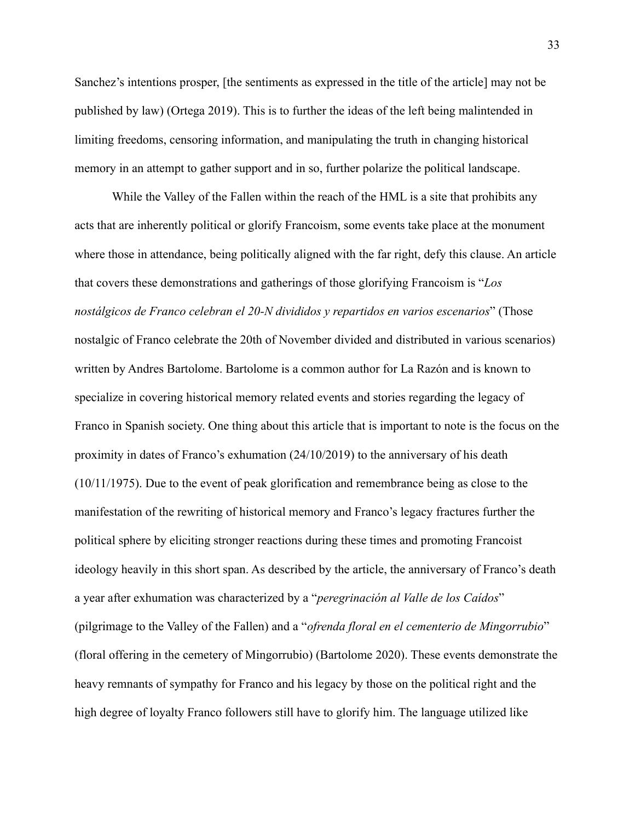Sanchez's intentions prosper, [the sentiments as expressed in the title of the article] may not be published by law) (Ortega 2019). This is to further the ideas of the left being malintended in limiting freedoms, censoring information, and manipulating the truth in changing historical memory in an attempt to gather support and in so, further polarize the political landscape.

While the Valley of the Fallen within the reach of the HML is a site that prohibits any acts that are inherently political or glorify Francoism, some events take place at the monument where those in attendance, being politically aligned with the far right, defy this clause. An article that covers these demonstrations and gatherings of those glorifying Francoism is "*Los nostálgicos de Franco celebran el 20-N divididos y repartidos en varios escenarios*" (Those nostalgic of Franco celebrate the 20th of November divided and distributed in various scenarios) written by Andres Bartolome. Bartolome is a common author for La Razón and is known to specialize in covering historical memory related events and stories regarding the legacy of Franco in Spanish society. One thing about this article that is important to note is the focus on the proximity in dates of Franco's exhumation (24/10/2019) to the anniversary of his death (10/11/1975). Due to the event of peak glorification and remembrance being as close to the manifestation of the rewriting of historical memory and Franco's legacy fractures further the political sphere by eliciting stronger reactions during these times and promoting Francoist ideology heavily in this short span. As described by the article, the anniversary of Franco's death a year after exhumation was characterized by a "*peregrinación al Valle de los Caídos*" (pilgrimage to the Valley of the Fallen) and a "*ofrenda floral en el cementerio de Mingorrubio*" (floral offering in the cemetery of Mingorrubio) (Bartolome 2020). These events demonstrate the heavy remnants of sympathy for Franco and his legacy by those on the political right and the high degree of loyalty Franco followers still have to glorify him. The language utilized like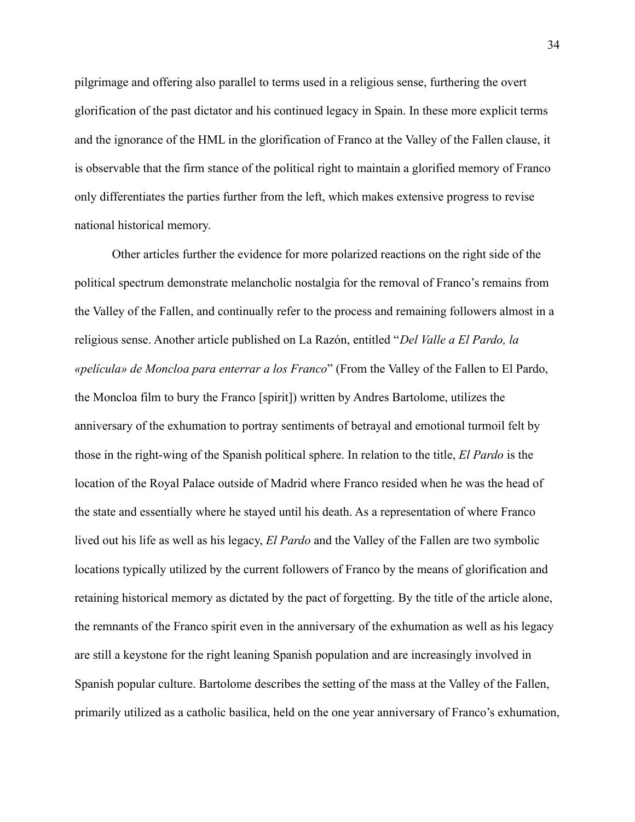pilgrimage and offering also parallel to terms used in a religious sense, furthering the overt glorification of the past dictator and his continued legacy in Spain. In these more explicit terms and the ignorance of the HML in the glorification of Franco at the Valley of the Fallen clause, it is observable that the firm stance of the political right to maintain a glorified memory of Franco only differentiates the parties further from the left, which makes extensive progress to revise national historical memory.

Other articles further the evidence for more polarized reactions on the right side of the political spectrum demonstrate melancholic nostalgia for the removal of Franco's remains from the Valley of the Fallen, and continually refer to the process and remaining followers almost in a religious sense. Another article published on La Razón, entitled "*Del Valle a El Pardo, la «película» de Moncloa para enterrar a los Franco*" (From the Valley of the Fallen to El Pardo, the Moncloa film to bury the Franco [spirit]) written by Andres Bartolome, utilizes the anniversary of the exhumation to portray sentiments of betrayal and emotional turmoil felt by those in the right-wing of the Spanish political sphere. In relation to the title, *El Pardo* is the location of the Royal Palace outside of Madrid where Franco resided when he was the head of the state and essentially where he stayed until his death. As a representation of where Franco lived out his life as well as his legacy, *El Pardo* and the Valley of the Fallen are two symbolic locations typically utilized by the current followers of Franco by the means of glorification and retaining historical memory as dictated by the pact of forgetting. By the title of the article alone, the remnants of the Franco spirit even in the anniversary of the exhumation as well as his legacy are still a keystone for the right leaning Spanish population and are increasingly involved in Spanish popular culture. Bartolome describes the setting of the mass at the Valley of the Fallen, primarily utilized as a catholic basilica, held on the one year anniversary of Franco's exhumation,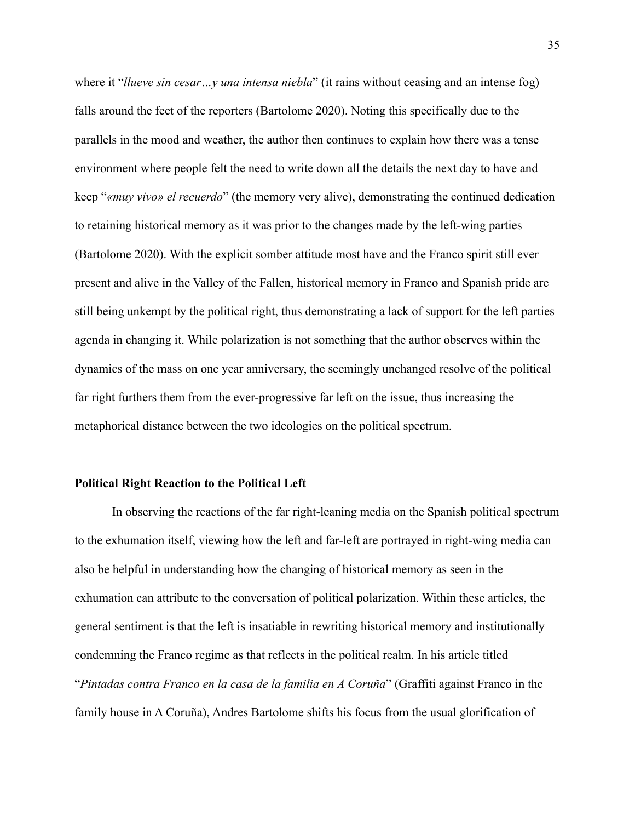where it "*llueve sin cesar…y una intensa niebla*" (it rains without ceasing and an intense fog) falls around the feet of the reporters (Bartolome 2020). Noting this specifically due to the parallels in the mood and weather, the author then continues to explain how there was a tense environment where people felt the need to write down all the details the next day to have and keep "*«muy vivo» el recuerdo*" (the memory very alive), demonstrating the continued dedication to retaining historical memory as it was prior to the changes made by the left-wing parties (Bartolome 2020). With the explicit somber attitude most have and the Franco spirit still ever present and alive in the Valley of the Fallen, historical memory in Franco and Spanish pride are still being unkempt by the political right, thus demonstrating a lack of support for the left parties agenda in changing it. While polarization is not something that the author observes within the dynamics of the mass on one year anniversary, the seemingly unchanged resolve of the political far right furthers them from the ever-progressive far left on the issue, thus increasing the metaphorical distance between the two ideologies on the political spectrum.

#### <span id="page-36-0"></span>**Political Right Reaction to the Political Left**

In observing the reactions of the far right-leaning media on the Spanish political spectrum to the exhumation itself, viewing how the left and far-left are portrayed in right-wing media can also be helpful in understanding how the changing of historical memory as seen in the exhumation can attribute to the conversation of political polarization. Within these articles, the general sentiment is that the left is insatiable in rewriting historical memory and institutionally condemning the Franco regime as that reflects in the political realm. In his article titled "*Pintadas contra Franco en la casa de la familia en A Coruña*" (Graffiti against Franco in the family house in A Coruña), Andres Bartolome shifts his focus from the usual glorification of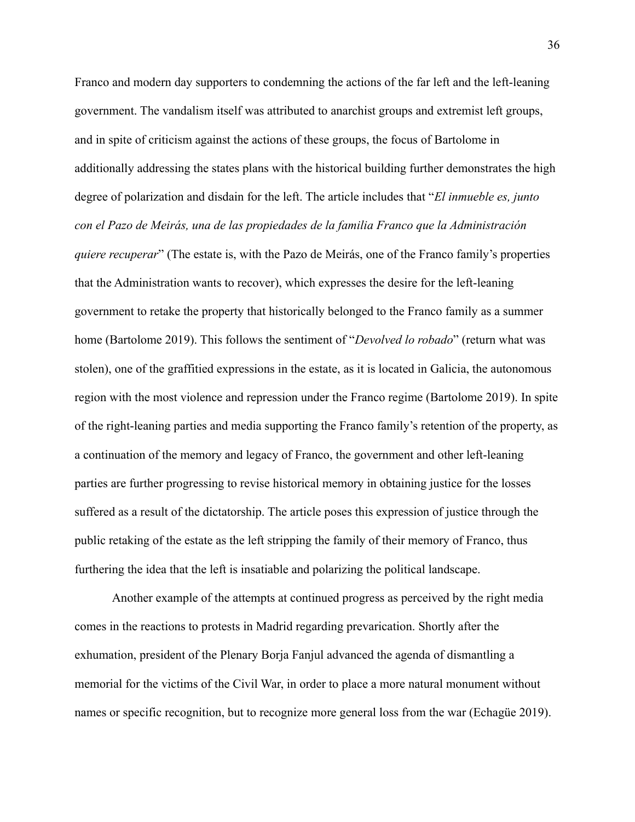Franco and modern day supporters to condemning the actions of the far left and the left-leaning government. The vandalism itself was attributed to anarchist groups and extremist left groups, and in spite of criticism against the actions of these groups, the focus of Bartolome in additionally addressing the states plans with the historical building further demonstrates the high degree of polarization and disdain for the left. The article includes that "*El inmueble es, junto con el Pazo de Meirás, una de las propiedades de la familia Franco que la Administración quiere recuperar*" (The estate is, with the Pazo de Meirás, one of the Franco family's properties that the Administration wants to recover), which expresses the desire for the left-leaning government to retake the property that historically belonged to the Franco family as a summer home (Bartolome 2019). This follows the sentiment of "*Devolved lo robado*" (return what was stolen), one of the graffitied expressions in the estate, as it is located in Galicia, the autonomous region with the most violence and repression under the Franco regime (Bartolome 2019). In spite of the right-leaning parties and media supporting the Franco family's retention of the property, as a continuation of the memory and legacy of Franco, the government and other left-leaning parties are further progressing to revise historical memory in obtaining justice for the losses suffered as a result of the dictatorship. The article poses this expression of justice through the public retaking of the estate as the left stripping the family of their memory of Franco, thus furthering the idea that the left is insatiable and polarizing the political landscape.

Another example of the attempts at continued progress as perceived by the right media comes in the reactions to protests in Madrid regarding prevarication. Shortly after the exhumation, president of the Plenary Borja Fanjul advanced the agenda of dismantling a memorial for the victims of the Civil War, in order to place a more natural monument without names or specific recognition, but to recognize more general loss from the war (Echagüe 2019).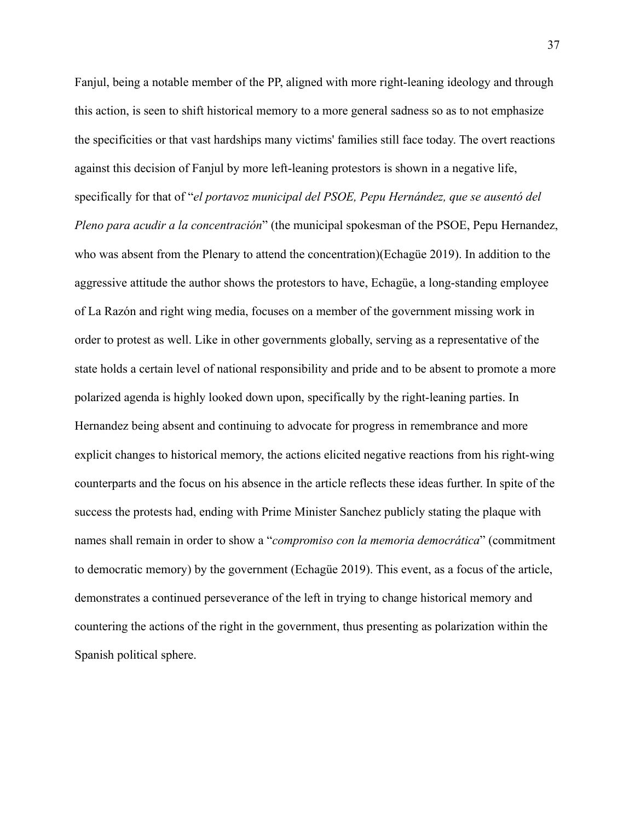Fanjul, being a notable member of the PP, aligned with more right-leaning ideology and through this action, is seen to shift historical memory to a more general sadness so as to not emphasize the specificities or that vast hardships many victims' families still face today. The overt reactions against this decision of Fanjul by more left-leaning protestors is shown in a negative life, specifically for that of "*el portavoz municipal del PSOE, Pepu Hernández, que se ausentó del Pleno para acudir a la concentración*" (the municipal spokesman of the PSOE, Pepu Hernandez, who was absent from the Plenary to attend the concentration)(Echagüe 2019). In addition to the aggressive attitude the author shows the protestors to have, Echagüe, a long-standing employee of La Razón and right wing media, focuses on a member of the government missing work in order to protest as well. Like in other governments globally, serving as a representative of the state holds a certain level of national responsibility and pride and to be absent to promote a more polarized agenda is highly looked down upon, specifically by the right-leaning parties. In Hernandez being absent and continuing to advocate for progress in remembrance and more explicit changes to historical memory, the actions elicited negative reactions from his right-wing counterparts and the focus on his absence in the article reflects these ideas further. In spite of the success the protests had, ending with Prime Minister Sanchez publicly stating the plaque with names shall remain in order to show a "*compromiso con la memoria democrática*" (commitment to democratic memory) by the government (Echagüe 2019). This event, as a focus of the article, demonstrates a continued perseverance of the left in trying to change historical memory and countering the actions of the right in the government, thus presenting as polarization within the Spanish political sphere.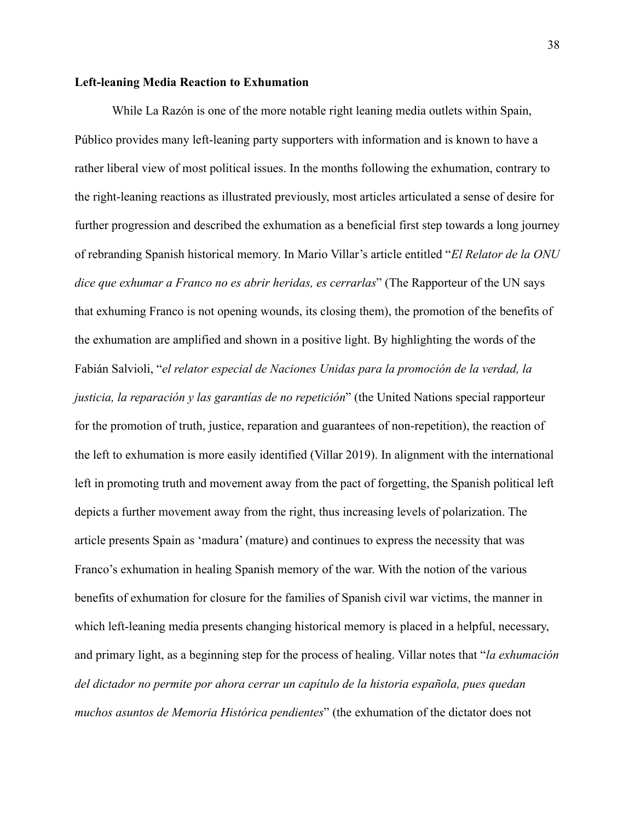#### <span id="page-39-0"></span>**Left-leaning Media Reaction to Exhumation**

While La Razón is one of the more notable right leaning media outlets within Spain, Público provides many left-leaning party supporters with information and is known to have a rather liberal view of most political issues. In the months following the exhumation, contrary to the right-leaning reactions as illustrated previously, most articles articulated a sense of desire for further progression and described the exhumation as a beneficial first step towards a long journey of rebranding Spanish historical memory. In Mario Villar's article entitled "*El Relator de la ONU dice que exhumar a Franco no es abrir heridas, es cerrarlas*" (The Rapporteur of the UN says that exhuming Franco is not opening wounds, its closing them), the promotion of the benefits of the exhumation are amplified and shown in a positive light. By highlighting the words of the Fabián Salvioli, "*el relator especial de Naciones Unidas para la promoción de la verdad, la justicia, la reparación y las garantías de no repetición*" (the United Nations special rapporteur for the promotion of truth, justice, reparation and guarantees of non-repetition), the reaction of the left to exhumation is more easily identified (Villar 2019). In alignment with the international left in promoting truth and movement away from the pact of forgetting, the Spanish political left depicts a further movement away from the right, thus increasing levels of polarization. The article presents Spain as 'madura' (mature) and continues to express the necessity that was Franco's exhumation in healing Spanish memory of the war. With the notion of the various benefits of exhumation for closure for the families of Spanish civil war victims, the manner in which left-leaning media presents changing historical memory is placed in a helpful, necessary, and primary light, as a beginning step for the process of healing. Villar notes that "*la exhumación del dictador no permite por ahora cerrar un capítulo de la historia española, pues quedan muchos asuntos de Memoria Histórica pendientes*" (the exhumation of the dictator does not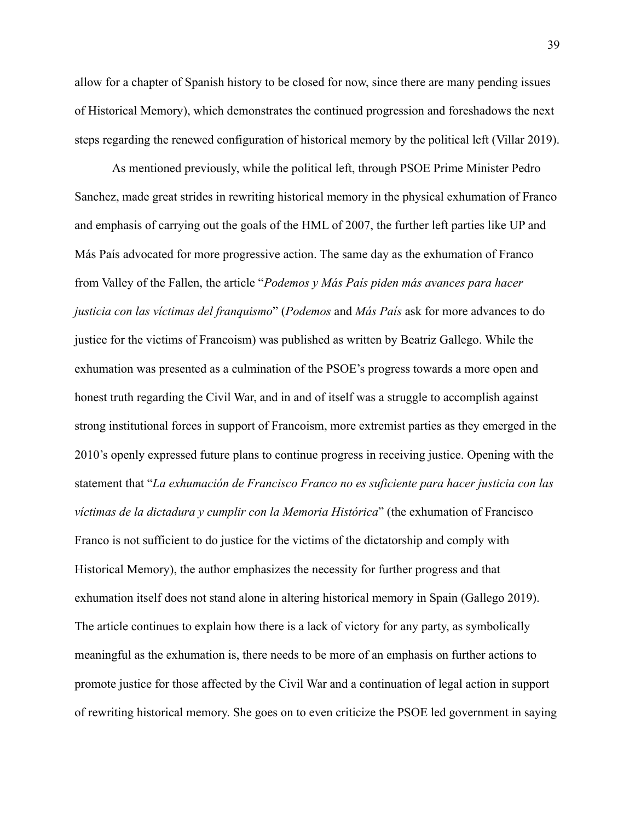allow for a chapter of Spanish history to be closed for now, since there are many pending issues of Historical Memory), which demonstrates the continued progression and foreshadows the next steps regarding the renewed configuration of historical memory by the political left (Villar 2019).

As mentioned previously, while the political left, through PSOE Prime Minister Pedro Sanchez, made great strides in rewriting historical memory in the physical exhumation of Franco and emphasis of carrying out the goals of the HML of 2007, the further left parties like UP and Más País advocated for more progressive action. The same day as the exhumation of Franco from Valley of the Fallen, the article "*Podemos y Más País piden más avances para hacer justicia con las víctimas del franquismo*" (*Podemos* and *Más País* ask for more advances to do justice for the victims of Francoism) was published as written by Beatriz Gallego. While the exhumation was presented as a culmination of the PSOE's progress towards a more open and honest truth regarding the Civil War, and in and of itself was a struggle to accomplish against strong institutional forces in support of Francoism, more extremist parties as they emerged in the 2010's openly expressed future plans to continue progress in receiving justice. Opening with the statement that "*La exhumación de Francisco Franco no es suficiente para hacer justicia con las víctimas de la dictadura y cumplir con la Memoria Histórica*" (the exhumation of Francisco Franco is not sufficient to do justice for the victims of the dictatorship and comply with Historical Memory), the author emphasizes the necessity for further progress and that exhumation itself does not stand alone in altering historical memory in Spain (Gallego 2019). The article continues to explain how there is a lack of victory for any party, as symbolically meaningful as the exhumation is, there needs to be more of an emphasis on further actions to promote justice for those affected by the Civil War and a continuation of legal action in support of rewriting historical memory. She goes on to even criticize the PSOE led government in saying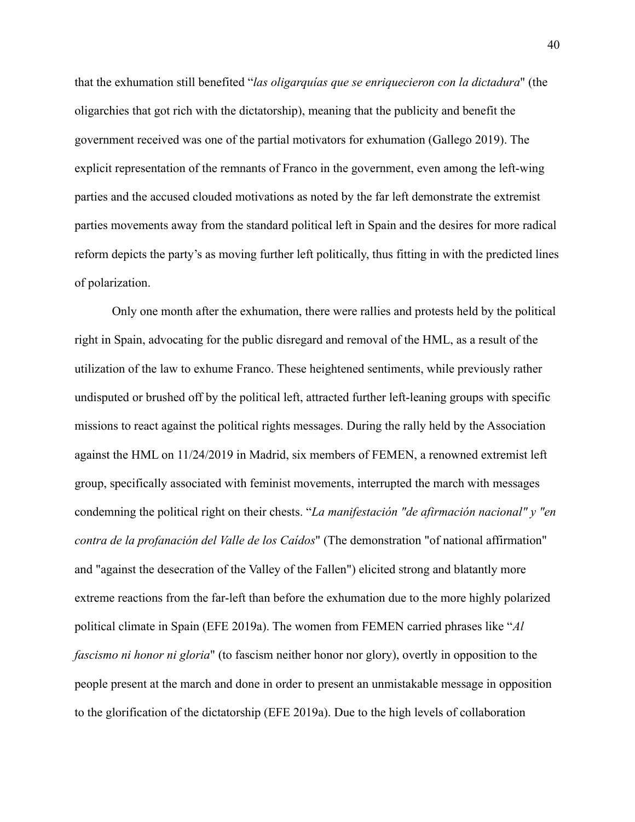that the exhumation still benefited "*las oligarquías que se enriquecieron con la dictadura*" (the oligarchies that got rich with the dictatorship), meaning that the publicity and benefit the government received was one of the partial motivators for exhumation (Gallego 2019). The explicit representation of the remnants of Franco in the government, even among the left-wing parties and the accused clouded motivations as noted by the far left demonstrate the extremist parties movements away from the standard political left in Spain and the desires for more radical reform depicts the party's as moving further left politically, thus fitting in with the predicted lines of polarization.

Only one month after the exhumation, there were rallies and protests held by the political right in Spain, advocating for the public disregard and removal of the HML, as a result of the utilization of the law to exhume Franco. These heightened sentiments, while previously rather undisputed or brushed off by the political left, attracted further left-leaning groups with specific missions to react against the political rights messages. During the rally held by the Association against the HML on 11/24/2019 in Madrid, six members of FEMEN, a renowned extremist left group, specifically associated with feminist movements, interrupted the march with messages condemning the political right on their chests. "*La manifestación "de afirmación nacional" y "en contra de la profanación del Valle de los Caídos*" (The demonstration "of national affirmation" and "against the desecration of the Valley of the Fallen") elicited strong and blatantly more extreme reactions from the far-left than before the exhumation due to the more highly polarized political climate in Spain (EFE 2019a). The women from FEMEN carried phrases like "*Al fascismo ni honor ni gloria*" (to fascism neither honor nor glory), overtly in opposition to the people present at the march and done in order to present an unmistakable message in opposition to the glorification of the dictatorship (EFE 2019a). Due to the high levels of collaboration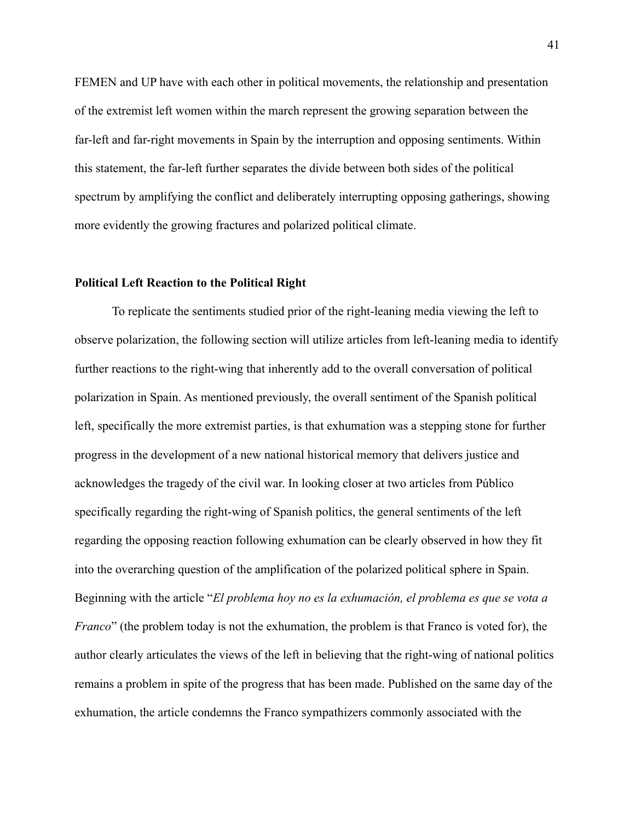FEMEN and UP have with each other in political movements, the relationship and presentation of the extremist left women within the march represent the growing separation between the far-left and far-right movements in Spain by the interruption and opposing sentiments. Within this statement, the far-left further separates the divide between both sides of the political spectrum by amplifying the conflict and deliberately interrupting opposing gatherings, showing more evidently the growing fractures and polarized political climate.

#### <span id="page-42-0"></span>**Political Left Reaction to the Political Right**

To replicate the sentiments studied prior of the right-leaning media viewing the left to observe polarization, the following section will utilize articles from left-leaning media to identify further reactions to the right-wing that inherently add to the overall conversation of political polarization in Spain. As mentioned previously, the overall sentiment of the Spanish political left, specifically the more extremist parties, is that exhumation was a stepping stone for further progress in the development of a new national historical memory that delivers justice and acknowledges the tragedy of the civil war. In looking closer at two articles from Público specifically regarding the right-wing of Spanish politics, the general sentiments of the left regarding the opposing reaction following exhumation can be clearly observed in how they fit into the overarching question of the amplification of the polarized political sphere in Spain. Beginning with the article "*El problema hoy no es la exhumación, el problema es que se vota a Franco*" (the problem today is not the exhumation, the problem is that Franco is voted for), the author clearly articulates the views of the left in believing that the right-wing of national politics remains a problem in spite of the progress that has been made. Published on the same day of the exhumation, the article condemns the Franco sympathizers commonly associated with the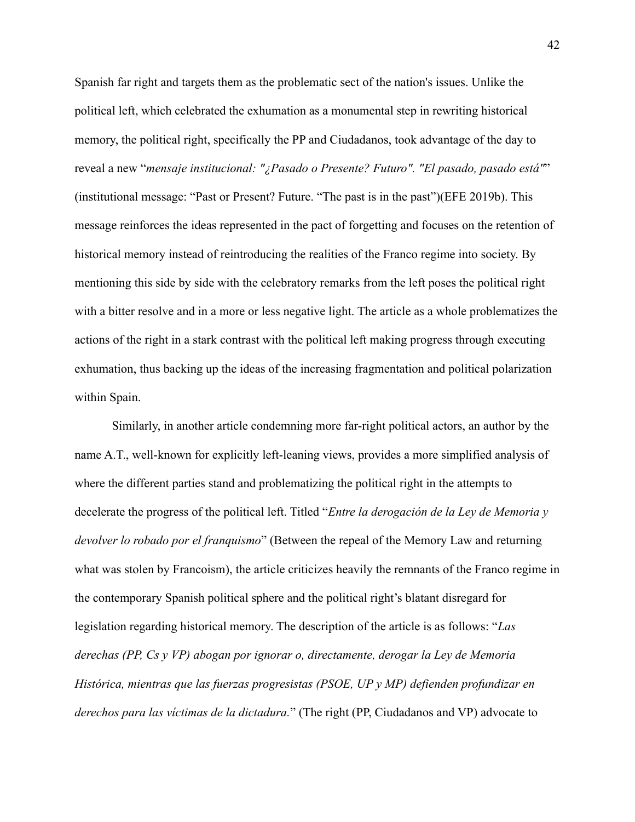Spanish far right and targets them as the problematic sect of the nation's issues. Unlike the political left, which celebrated the exhumation as a monumental step in rewriting historical memory, the political right, specifically the PP and Ciudadanos, took advantage of the day to reveal a new "*mensaje institucional: "¿Pasado o Presente? Futuro". "El pasado, pasado está"*" (institutional message: "Past or Present? Future. "The past is in the past")(EFE 2019b). This message reinforces the ideas represented in the pact of forgetting and focuses on the retention of historical memory instead of reintroducing the realities of the Franco regime into society. By mentioning this side by side with the celebratory remarks from the left poses the political right with a bitter resolve and in a more or less negative light. The article as a whole problematizes the actions of the right in a stark contrast with the political left making progress through executing exhumation, thus backing up the ideas of the increasing fragmentation and political polarization within Spain.

Similarly, in another article condemning more far-right political actors, an author by the name A.T., well-known for explicitly left-leaning views, provides a more simplified analysis of where the different parties stand and problematizing the political right in the attempts to decelerate the progress of the political left. Titled "*Entre la derogación de la Ley de Memoria y devolver lo robado por el franquismo*" (Between the repeal of the Memory Law and returning what was stolen by Francoism), the article criticizes heavily the remnants of the Franco regime in the contemporary Spanish political sphere and the political right's blatant disregard for legislation regarding historical memory. The description of the article is as follows: "*Las derechas (PP, Cs y VP) abogan por ignorar o, directamente, derogar la Ley de Memoria Histórica, mientras que las fuerzas progresistas (PSOE, UP y MP) defienden profundizar en derechos para las víctimas de la dictadura.*" (The right (PP, Ciudadanos and VP) advocate to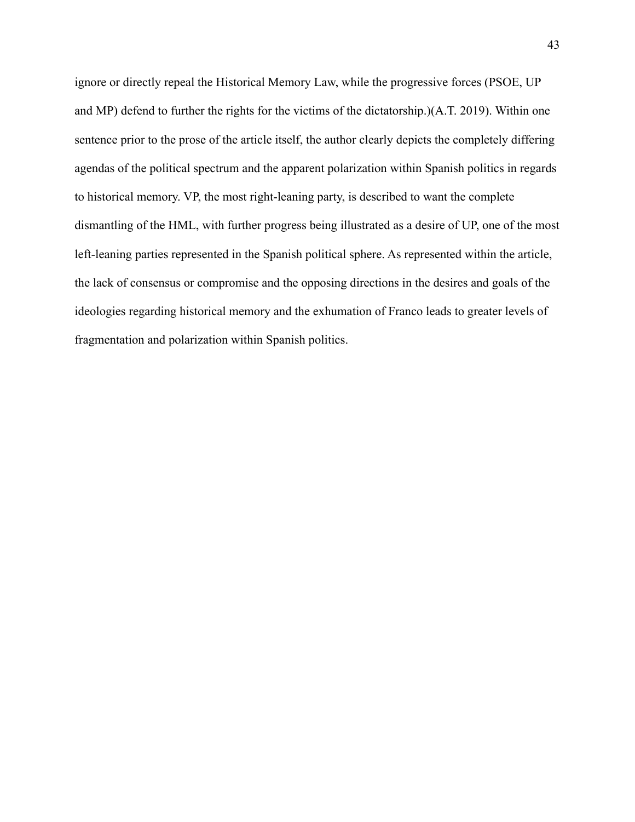ignore or directly repeal the Historical Memory Law, while the progressive forces (PSOE, UP and MP) defend to further the rights for the victims of the dictatorship.)(A.T. 2019). Within one sentence prior to the prose of the article itself, the author clearly depicts the completely differing agendas of the political spectrum and the apparent polarization within Spanish politics in regards to historical memory. VP, the most right-leaning party, is described to want the complete dismantling of the HML, with further progress being illustrated as a desire of UP, one of the most left-leaning parties represented in the Spanish political sphere. As represented within the article, the lack of consensus or compromise and the opposing directions in the desires and goals of the ideologies regarding historical memory and the exhumation of Franco leads to greater levels of fragmentation and polarization within Spanish politics.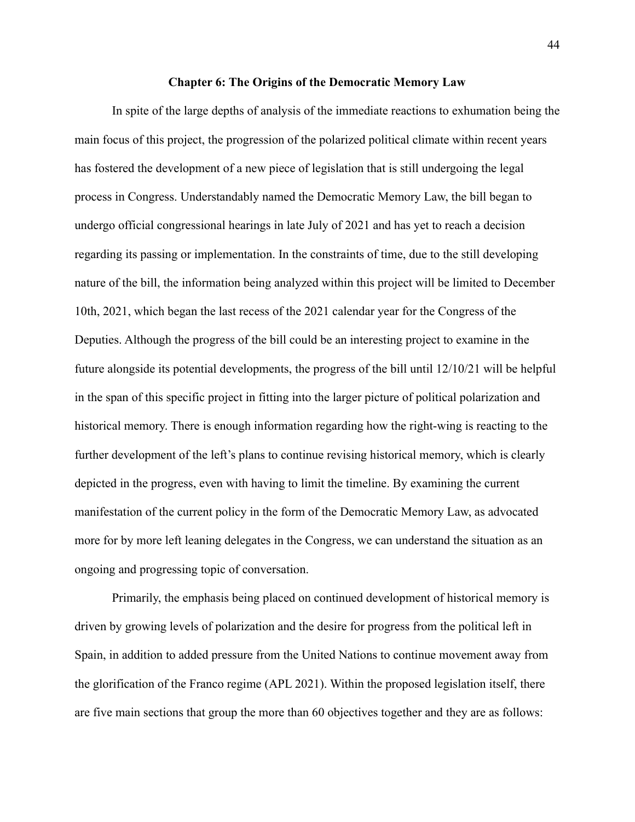#### **Chapter 6: The Origins of the Democratic Memory Law**

<span id="page-45-0"></span>In spite of the large depths of analysis of the immediate reactions to exhumation being the main focus of this project, the progression of the polarized political climate within recent years has fostered the development of a new piece of legislation that is still undergoing the legal process in Congress. Understandably named the Democratic Memory Law, the bill began to undergo official congressional hearings in late July of 2021 and has yet to reach a decision regarding its passing or implementation. In the constraints of time, due to the still developing nature of the bill, the information being analyzed within this project will be limited to December 10th, 2021, which began the last recess of the 2021 calendar year for the Congress of the Deputies. Although the progress of the bill could be an interesting project to examine in the future alongside its potential developments, the progress of the bill until 12/10/21 will be helpful in the span of this specific project in fitting into the larger picture of political polarization and historical memory. There is enough information regarding how the right-wing is reacting to the further development of the left's plans to continue revising historical memory, which is clearly depicted in the progress, even with having to limit the timeline. By examining the current manifestation of the current policy in the form of the Democratic Memory Law, as advocated more for by more left leaning delegates in the Congress, we can understand the situation as an ongoing and progressing topic of conversation.

Primarily, the emphasis being placed on continued development of historical memory is driven by growing levels of polarization and the desire for progress from the political left in Spain, in addition to added pressure from the United Nations to continue movement away from the glorification of the Franco regime (APL 2021). Within the proposed legislation itself, there are five main sections that group the more than 60 objectives together and they are as follows: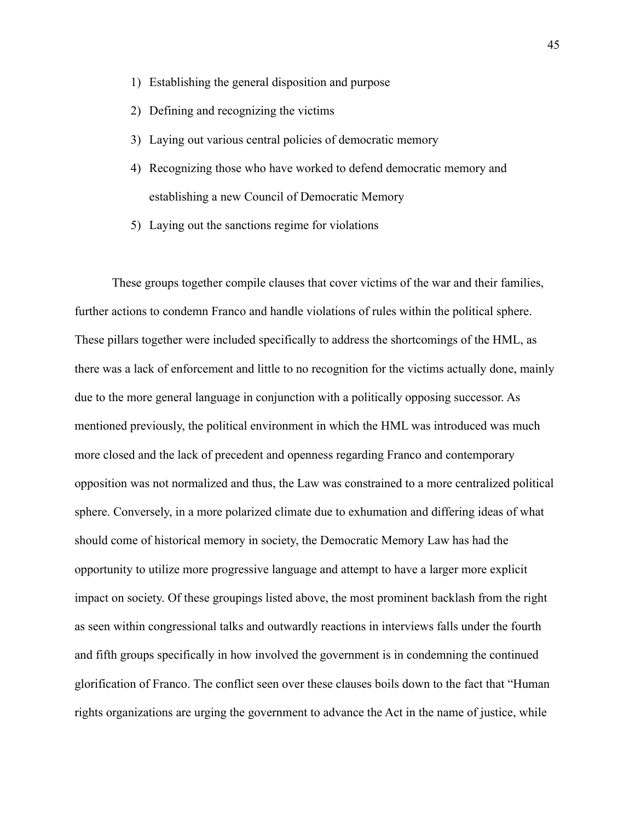- 1) Establishing the general disposition and purpose
- 2) Defining and recognizing the victims
- 3) Laying out various central policies of democratic memory
- 4) Recognizing those who have worked to defend democratic memory and establishing a new Council of Democratic Memory
- 5) Laying out the sanctions regime for violations

These groups together compile clauses that cover victims of the war and their families, further actions to condemn Franco and handle violations of rules within the political sphere. These pillars together were included specifically to address the shortcomings of the HML, as there was a lack of enforcement and little to no recognition for the victims actually done, mainly due to the more general language in conjunction with a politically opposing successor. As mentioned previously, the political environment in which the HML was introduced was much more closed and the lack of precedent and openness regarding Franco and contemporary opposition was not normalized and thus, the Law was constrained to a more centralized political sphere. Conversely, in a more polarized climate due to exhumation and differing ideas of what should come of historical memory in society, the Democratic Memory Law has had the opportunity to utilize more progressive language and attempt to have a larger more explicit impact on society. Of these groupings listed above, the most prominent backlash from the right as seen within congressional talks and outwardly reactions in interviews falls under the fourth and fifth groups specifically in how involved the government is in condemning the continued glorification of Franco. The conflict seen over these clauses boils down to the fact that "Human rights organizations are urging the government to advance the Act in the name of justice, while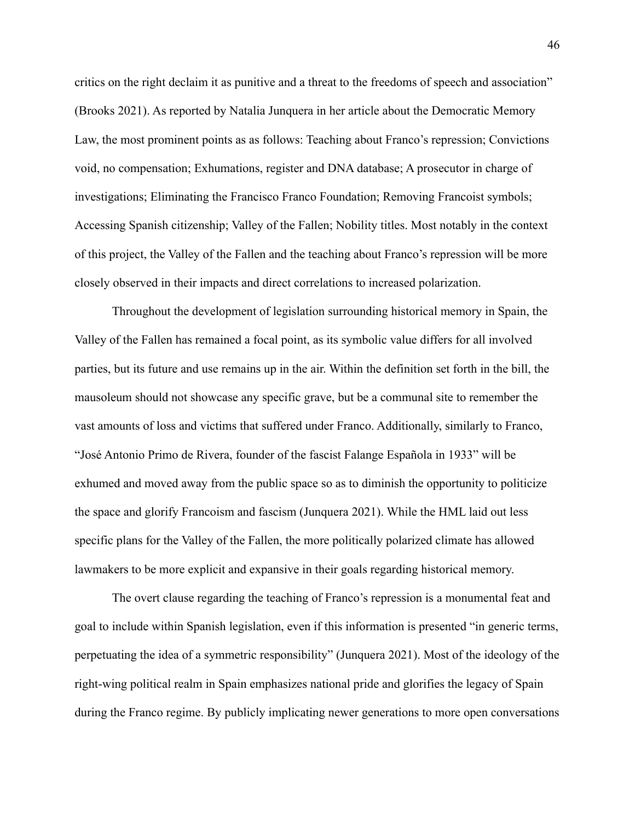critics on the right declaim it as punitive and a threat to the freedoms of speech and association" (Brooks 2021). As reported by Natalia Junquera in her article about the Democratic Memory Law, the most prominent points as as follows: Teaching about Franco's repression; Convictions void, no compensation; Exhumations, register and DNA database; A prosecutor in charge of investigations; Eliminating the Francisco Franco Foundation; Removing Francoist symbols; Accessing Spanish citizenship; Valley of the Fallen; Nobility titles. Most notably in the context of this project, the Valley of the Fallen and the teaching about Franco's repression will be more closely observed in their impacts and direct correlations to increased polarization.

Throughout the development of legislation surrounding historical memory in Spain, the Valley of the Fallen has remained a focal point, as its symbolic value differs for all involved parties, but its future and use remains up in the air. Within the definition set forth in the bill, the mausoleum should not showcase any specific grave, but be a communal site to remember the vast amounts of loss and victims that suffered under Franco. Additionally, similarly to Franco, "José Antonio Primo de Rivera, founder of the fascist Falange Española in 1933" will be exhumed and moved away from the public space so as to diminish the opportunity to politicize the space and glorify Francoism and fascism (Junquera 2021). While the HML laid out less specific plans for the Valley of the Fallen, the more politically polarized climate has allowed lawmakers to be more explicit and expansive in their goals regarding historical memory.

The overt clause regarding the teaching of Franco's repression is a monumental feat and goal to include within Spanish legislation, even if this information is presented "in generic terms, perpetuating the idea of a symmetric responsibility" (Junquera 2021). Most of the ideology of the right-wing political realm in Spain emphasizes national pride and glorifies the legacy of Spain during the Franco regime. By publicly implicating newer generations to more open conversations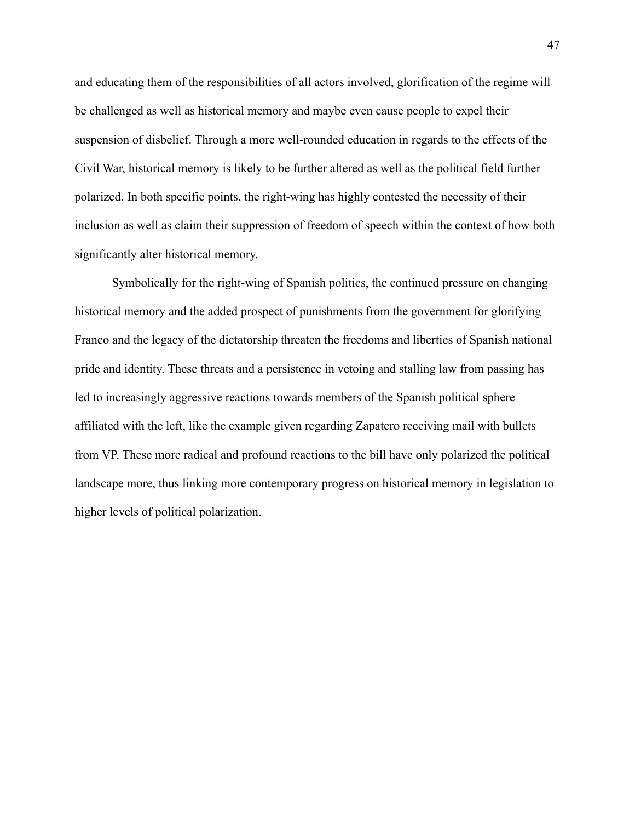and educating them of the responsibilities of all actors involved, glorification of the regime will be challenged as well as historical memory and maybe even cause people to expel their suspension of disbelief. Through a more well-rounded education in regards to the effects of the Civil War, historical memory is likely to be further altered as well as the political field further polarized. In both specific points, the right-wing has highly contested the necessity of their inclusion as well as claim their suppression of freedom of speech within the context of how both significantly alter historical memory.

Symbolically for the right-wing of Spanish politics, the continued pressure on changing historical memory and the added prospect of punishments from the government for glorifying Franco and the legacy of the dictatorship threaten the freedoms and liberties of Spanish national pride and identity. These threats and a persistence in vetoing and stalling law from passing has led to increasingly aggressive reactions towards members of the Spanish political sphere affiliated with the left, like the example given regarding Zapatero receiving mail with bullets from VP. These more radical and profound reactions to the bill have only polarized the political landscape more, thus linking more contemporary progress on historical memory in legislation to higher levels of political polarization.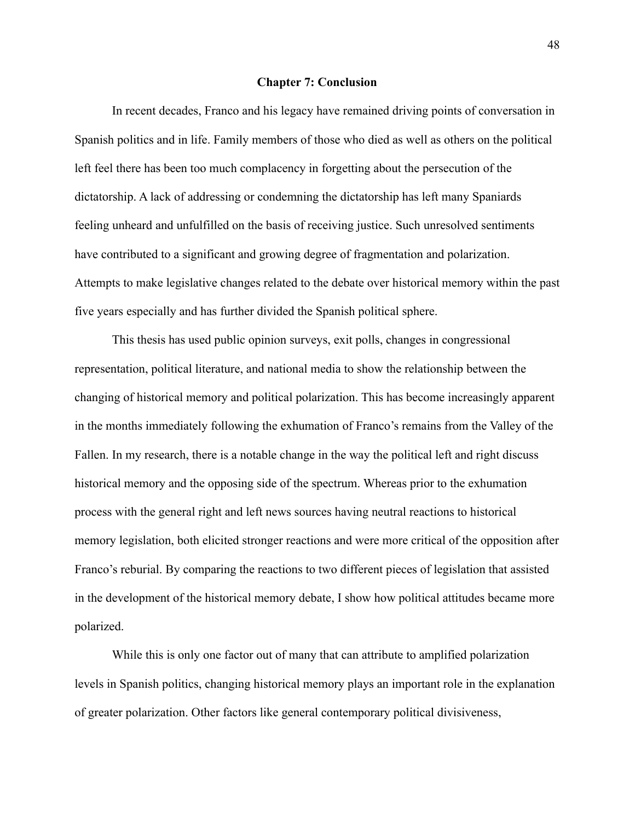#### **Chapter 7: Conclusion**

<span id="page-49-0"></span>In recent decades, Franco and his legacy have remained driving points of conversation in Spanish politics and in life. Family members of those who died as well as others on the political left feel there has been too much complacency in forgetting about the persecution of the dictatorship. A lack of addressing or condemning the dictatorship has left many Spaniards feeling unheard and unfulfilled on the basis of receiving justice. Such unresolved sentiments have contributed to a significant and growing degree of fragmentation and polarization. Attempts to make legislative changes related to the debate over historical memory within the past five years especially and has further divided the Spanish political sphere.

This thesis has used public opinion surveys, exit polls, changes in congressional representation, political literature, and national media to show the relationship between the changing of historical memory and political polarization. This has become increasingly apparent in the months immediately following the exhumation of Franco's remains from the Valley of the Fallen. In my research, there is a notable change in the way the political left and right discuss historical memory and the opposing side of the spectrum. Whereas prior to the exhumation process with the general right and left news sources having neutral reactions to historical memory legislation, both elicited stronger reactions and were more critical of the opposition after Franco's reburial. By comparing the reactions to two different pieces of legislation that assisted in the development of the historical memory debate, I show how political attitudes became more polarized.

While this is only one factor out of many that can attribute to amplified polarization levels in Spanish politics, changing historical memory plays an important role in the explanation of greater polarization. Other factors like general contemporary political divisiveness,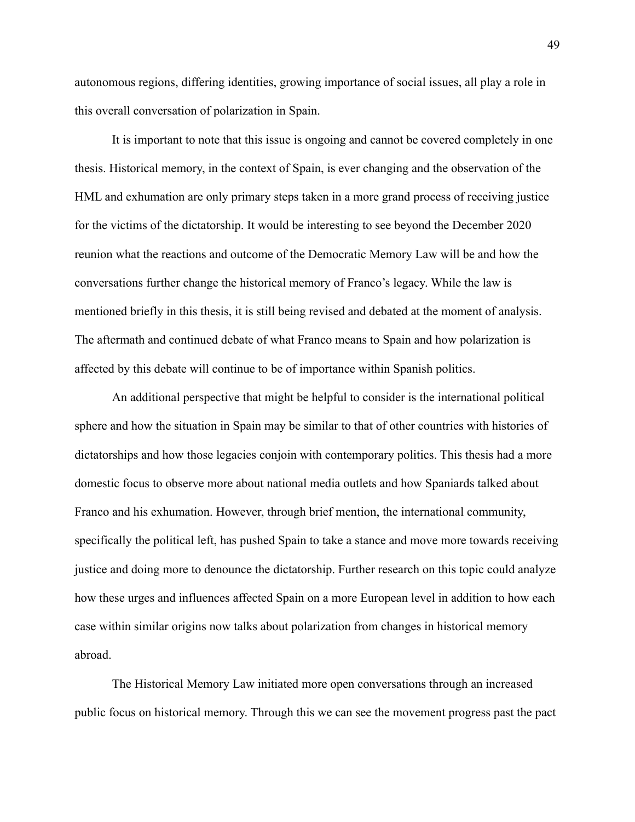autonomous regions, differing identities, growing importance of social issues, all play a role in this overall conversation of polarization in Spain.

It is important to note that this issue is ongoing and cannot be covered completely in one thesis. Historical memory, in the context of Spain, is ever changing and the observation of the HML and exhumation are only primary steps taken in a more grand process of receiving justice for the victims of the dictatorship. It would be interesting to see beyond the December 2020 reunion what the reactions and outcome of the Democratic Memory Law will be and how the conversations further change the historical memory of Franco's legacy. While the law is mentioned briefly in this thesis, it is still being revised and debated at the moment of analysis. The aftermath and continued debate of what Franco means to Spain and how polarization is affected by this debate will continue to be of importance within Spanish politics.

An additional perspective that might be helpful to consider is the international political sphere and how the situation in Spain may be similar to that of other countries with histories of dictatorships and how those legacies conjoin with contemporary politics. This thesis had a more domestic focus to observe more about national media outlets and how Spaniards talked about Franco and his exhumation. However, through brief mention, the international community, specifically the political left, has pushed Spain to take a stance and move more towards receiving justice and doing more to denounce the dictatorship. Further research on this topic could analyze how these urges and influences affected Spain on a more European level in addition to how each case within similar origins now talks about polarization from changes in historical memory abroad.

The Historical Memory Law initiated more open conversations through an increased public focus on historical memory. Through this we can see the movement progress past the pact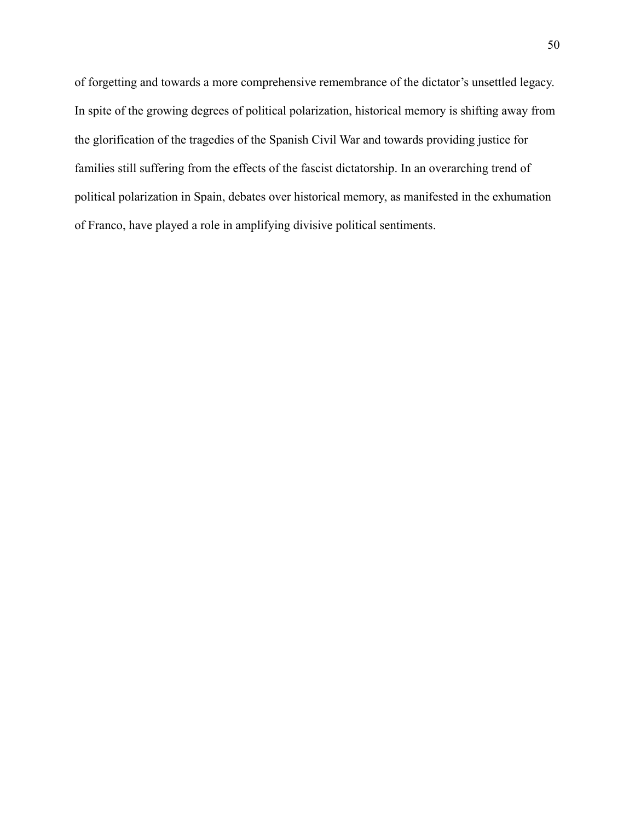of forgetting and towards a more comprehensive remembrance of the dictator's unsettled legacy. In spite of the growing degrees of political polarization, historical memory is shifting away from the glorification of the tragedies of the Spanish Civil War and towards providing justice for families still suffering from the effects of the fascist dictatorship. In an overarching trend of political polarization in Spain, debates over historical memory, as manifested in the exhumation of Franco, have played a role in amplifying divisive political sentiments.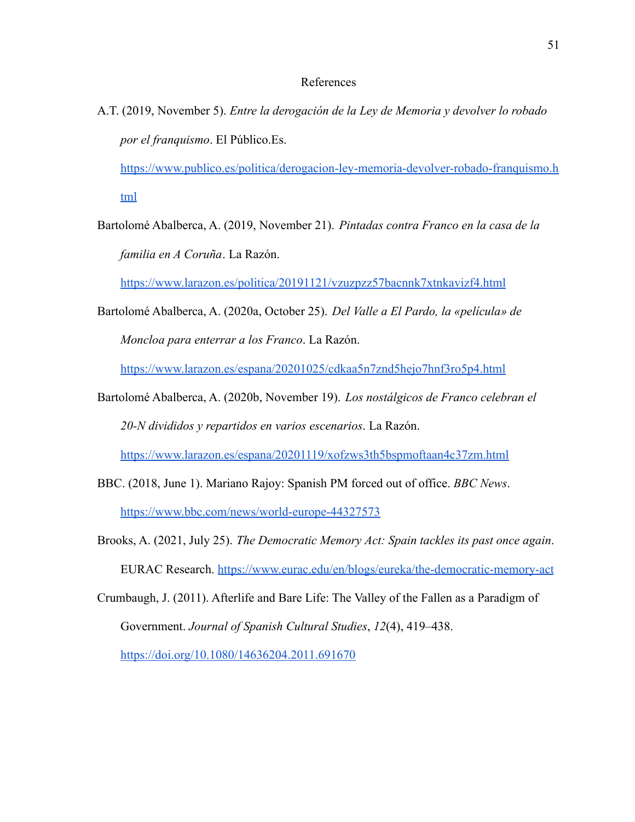#### References

A.T. (2019, November 5). *Entre la derogación de la Ley de Memoria y devolver lo robado por el franquismo*. El Público.Es.

[https://www.publico.es/politica/derogacion-ley-memoria-devolver-robado-franquismo.h](https://www.publico.es/politica/derogacion-ley-memoria-devolver-robado-franquismo.html) [tml](https://www.publico.es/politica/derogacion-ley-memoria-devolver-robado-franquismo.html)

Bartolomé Abalberca, A. (2019, November 21). *Pintadas contra Franco en la casa de la familia en A Coruña*. La Razón.

<https://www.larazon.es/politica/20191121/vzuzpzz57bacnnk7xtnkavizf4.html>

Bartolomé Abalberca, A. (2020a, October 25). *Del Valle a El Pardo, la «película» de Moncloa para enterrar a los Franco*. La Razón[.](https://www.larazon.es/espana/20201025/cdkaa5n7znd5hejo7hnf3ro5p4.html)

<https://www.larazon.es/espana/20201025/cdkaa5n7znd5hejo7hnf3ro5p4.html>

Bartolomé Abalberca, A. (2020b, November 19). *Los nostálgicos de Franco celebran el 20-N divididos y repartidos en varios escenarios*. La Razón[.](https://www.larazon.es/espana/20201119/xofzws3th5bspmoftaan4c37zm.html)

<https://www.larazon.es/espana/20201119/xofzws3th5bspmoftaan4c37zm.html>

- BBC. (2018, June 1). Mariano Rajoy: Spanish PM forced out of office. *BBC News*[.](https://www.bbc.com/news/world-europe-44327573) <https://www.bbc.com/news/world-europe-44327573>
- Brooks, A. (2021, July 25). *The Democratic Memory Act: Spain tackles its past once again*. EURAC Research. <https://www.eurac.edu/en/blogs/eureka/the-democratic-memory-act>
- Crumbaugh, J. (2011). Afterlife and Bare Life: The Valley of the Fallen as a Paradigm of Government. *Journal of Spanish Cultural Studies*, *12*(4), 419–438[.](https://doi.org/10.1080/14636204.2011.691670)

<https://doi.org/10.1080/14636204.2011.691670>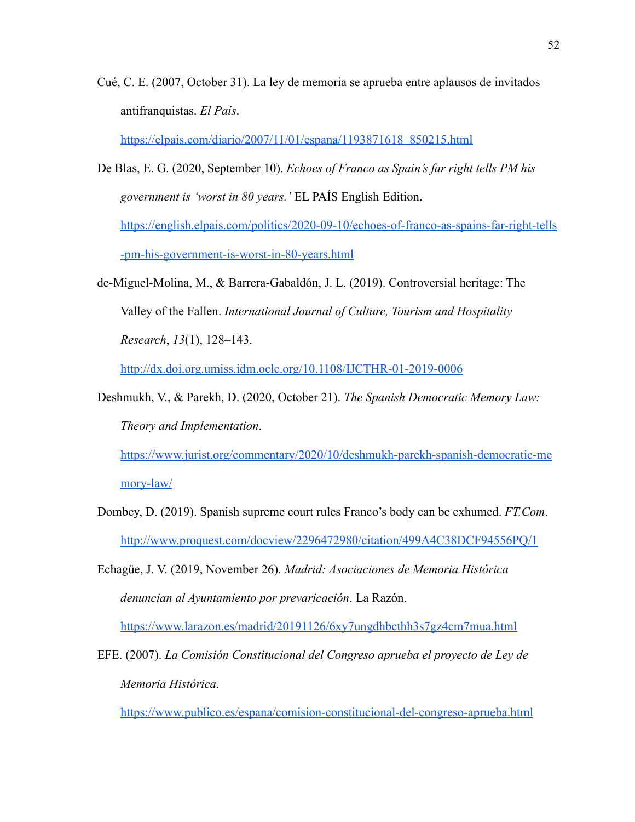Cué, C. E. (2007, October 31). La ley de memoria se aprueba entre aplausos de invitados antifranquistas. *El País*.

[https://elpais.com/diario/2007/11/01/espana/1193871618\\_850215.html](https://elpais.com/diario/2007/11/01/espana/1193871618_850215.html)

- De Blas, E. G. (2020, September 10). *Echoes of Franco as Spain's far right tells PM his government is 'worst in 80 years.'* EL PAÍS English Edition[.](https://english.elpais.com/politics/2020-09-10/echoes-of-franco-as-spains-far-right-tells-pm-his-government-is-worst-in-80-years.html) [https://english.elpais.com/politics/2020-09-10/echoes-of-franco-as-spains-far-right-tells](https://english.elpais.com/politics/2020-09-10/echoes-of-franco-as-spains-far-right-tells-pm-his-government-is-worst-in-80-years.html) [-pm-his-government-is-worst-in-80-years.html](https://english.elpais.com/politics/2020-09-10/echoes-of-franco-as-spains-far-right-tells-pm-his-government-is-worst-in-80-years.html)
- de-Miguel-Molina, M., & Barrera-Gabaldón, J. L. (2019). Controversial heritage: The Valley of the Fallen. *International Journal of Culture, Tourism and Hospitality Research*, *13*(1), 128–143[.](http://dx.doi.org.umiss.idm.oclc.org/10.1108/IJCTHR-01-2019-0006)

<http://dx.doi.org.umiss.idm.oclc.org/10.1108/IJCTHR-01-2019-0006>

Deshmukh, V., & Parekh, D. (2020, October 21). *The Spanish Democratic Memory Law: Theory and Implementation*.

[https://www.jurist.org/commentary/2020/10/deshmukh-parekh-spanish-democratic-me](https://www.jurist.org/commentary/2020/10/deshmukh-parekh-spanish-democratic-memory-law/) [mory-law/](https://www.jurist.org/commentary/2020/10/deshmukh-parekh-spanish-democratic-memory-law/)

- Dombey, D. (2019). Spanish supreme court rules Franco's body can be exhumed. *FT.Com*. <http://www.proquest.com/docview/2296472980/citation/499A4C38DCF94556PQ/1>
- Echagüe, J. V. (2019, November 26). *Madrid: Asociaciones de Memoria Histórica denuncian al Ayuntamiento por prevaricación*. La Razón[.](https://www.larazon.es/madrid/20191126/6xy7ungdhbcthh3s7gz4cm7mua.html)

<https://www.larazon.es/madrid/20191126/6xy7ungdhbcthh3s7gz4cm7mua.html>

EFE. (2007). *La Comisión Constitucional del Congreso aprueba el proyecto de Ley de Memoria Histórica*.

<https://www.publico.es/espana/comision-constitucional-del-congreso-aprueba.html>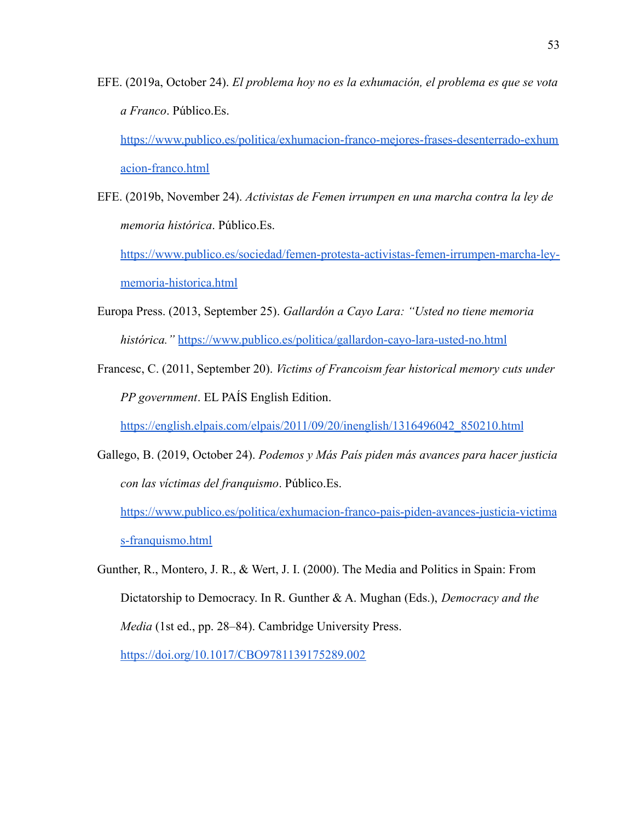EFE. (2019a, October 24). *El problema hoy no es la exhumación, el problema es que se vota a Franco*. Público.Es[.](https://www.publico.es/politica/exhumacion-franco-mejores-frases-desenterrado-exhumacion-franco.html)

[https://www.publico.es/politica/exhumacion-franco-mejores-frases-desenterrado-exhum](https://www.publico.es/politica/exhumacion-franco-mejores-frases-desenterrado-exhumacion-franco.html) [acion-franco.html](https://www.publico.es/politica/exhumacion-franco-mejores-frases-desenterrado-exhumacion-franco.html)

EFE. (2019b, November 24). *Activistas de Femen irrumpen en una marcha contra la ley de memoria histórica*. Público.Es[.](https://www.publico.es/sociedad/femen-protesta-activistas-femen-irrumpen-marcha-ley-memoria-historica.html)

[https://www.publico.es/sociedad/femen-protesta-activistas-femen-irrumpen-marcha-ley](https://www.publico.es/sociedad/femen-protesta-activistas-femen-irrumpen-marcha-ley-memoria-historica.html)[memoria-historica.html](https://www.publico.es/sociedad/femen-protesta-activistas-femen-irrumpen-marcha-ley-memoria-historica.html)

- Europa Press. (2013, September 25). *Gallardón a Cayo Lara: "Usted no tiene memoria histórica."* <https://www.publico.es/politica/gallardon-cayo-lara-usted-no.html>
- Francesc, C. (2011, September 20). *Victims of Francoism fear historical memory cuts under PP government*. EL PAÍS English Edition.

[https://english.elpais.com/elpais/2011/09/20/inenglish/1316496042\\_850210.html](https://english.elpais.com/elpais/2011/09/20/inenglish/1316496042_850210.html)

- Gallego, B. (2019, October 24). *Podemos y Más País piden más avances para hacer justicia con las víctimas del franquismo*. Público.Es. [https://www.publico.es/politica/exhumacion-franco-pais-piden-avances-justicia-victima](https://www.publico.es/politica/exhumacion-franco-pais-piden-avances-justicia-victimas-franquismo.html) [s-franquismo.html](https://www.publico.es/politica/exhumacion-franco-pais-piden-avances-justicia-victimas-franquismo.html)
- Gunther, R., Montero, J. R., & Wert, J. I. (2000). The Media and Politics in Spain: From Dictatorship to Democracy. In R. Gunther & A. Mughan (Eds.), *Democracy and the Media* (1st ed., pp. 28–84). Cambridge University Press.

<https://doi.org/10.1017/CBO9781139175289.002>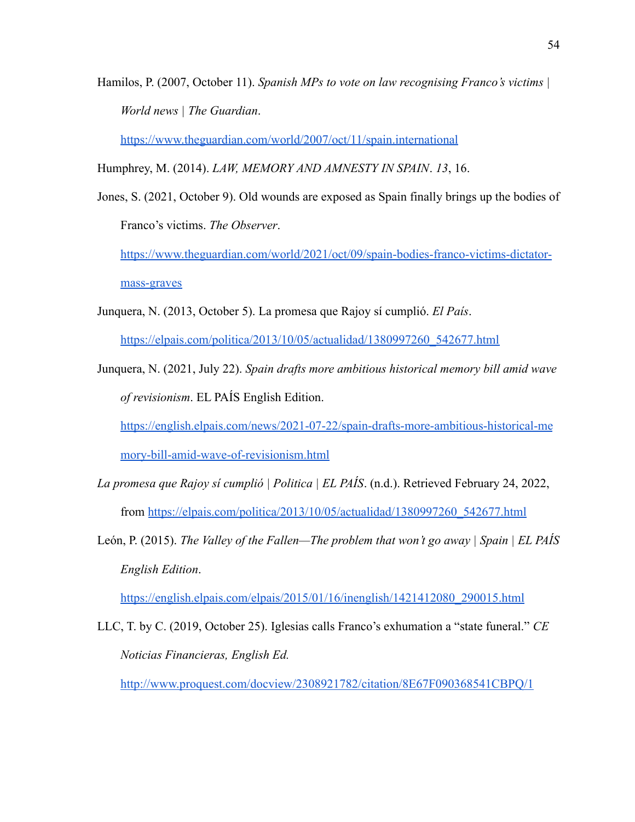Hamilos, P. (2007, October 11). *Spanish MPs to vote on law recognising Franco's victims | World news | The Guardian*.

<https://www.theguardian.com/world/2007/oct/11/spain.international>

Humphrey, M. (2014). *LAW, MEMORY AND AMNESTY IN SPAIN*. *13*, 16.

Jones, S. (2021, October 9). Old wounds are exposed as Spain finally brings up the bodies of Franco's victims. *The Observer*.

[https://www.theguardian.com/world/2021/oct/09/spain-bodies-franco-victims-dictator](https://www.theguardian.com/world/2021/oct/09/spain-bodies-franco-victims-dictator-mass-graves)[mass-graves](https://www.theguardian.com/world/2021/oct/09/spain-bodies-franco-victims-dictator-mass-graves)

Junquera, N. (2013, October 5). La promesa que Rajoy sí cumplió. *El País*[.](https://elpais.com/politica/2013/10/05/actualidad/1380997260_542677.html)

[https://elpais.com/politica/2013/10/05/actualidad/1380997260\\_542677.html](https://elpais.com/politica/2013/10/05/actualidad/1380997260_542677.html)

Junquera, N. (2021, July 22). *Spain drafts more ambitious historical memory bill amid wave of revisionism*. EL PAÍS English Edition.

[https://english.elpais.com/news/2021-07-22/spain-drafts-more-ambitious-historical-me](https://english.elpais.com/news/2021-07-22/spain-drafts-more-ambitious-historical-memory-bill-amid-wave-of-revisionism.html)

[mory-bill-amid-wave-of-revisionism.html](https://english.elpais.com/news/2021-07-22/spain-drafts-more-ambitious-historical-memory-bill-amid-wave-of-revisionism.html)

- *La promesa que Rajoy sí cumplió | Politica | EL PAÍS*. (n.d.). Retrieved February 24, 2022, from [https://elpais.com/politica/2013/10/05/actualidad/1380997260\\_542677.html](https://elpais.com/politica/2013/10/05/actualidad/1380997260_542677.html)
- León, P. (2015). *The Valley of the Fallen—The problem that won't go away | Spain | EL PAÍS English Edition*[.](https://english.elpais.com/elpais/2015/01/16/inenglish/1421412080_290015.html)

[https://english.elpais.com/elpais/2015/01/16/inenglish/1421412080\\_290015.html](https://english.elpais.com/elpais/2015/01/16/inenglish/1421412080_290015.html)

LLC, T. by C. (2019, October 25). Iglesias calls Franco's exhumation a "state funeral." *CE Noticias Financieras, English Ed[.](http://www.proquest.com/docview/2308921782/citation/8E67F090368541CBPQ/1)*

<http://www.proquest.com/docview/2308921782/citation/8E67F090368541CBPQ/1>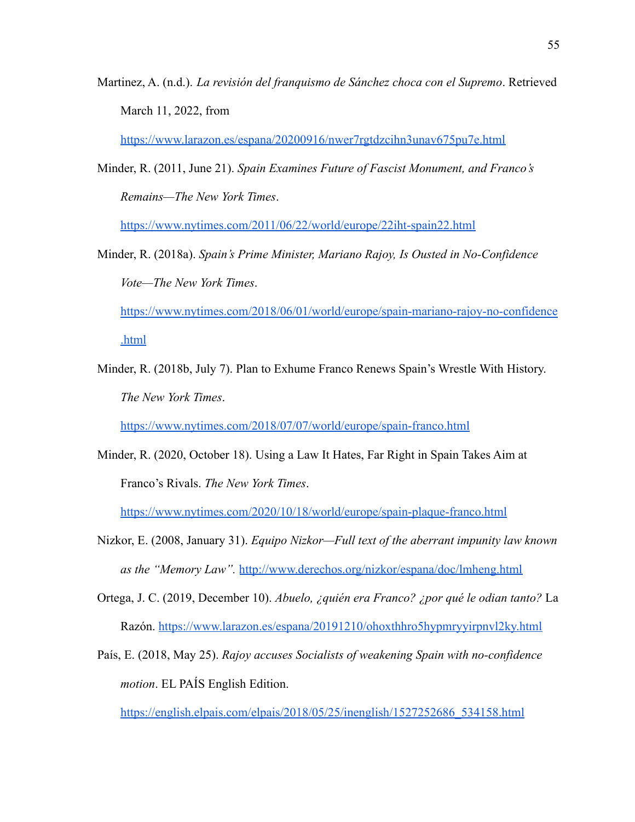Martinez, A. (n.d.). *La revisión del franquismo de Sánchez choca con el Supremo*. Retrieved March 11, 2022, fro[m](https://www.larazon.es/espana/20200916/nwer7rgtdzcihn3unav675pu7e.html)

<https://www.larazon.es/espana/20200916/nwer7rgtdzcihn3unav675pu7e.html>

Minder, R. (2011, June 21). *Spain Examines Future of Fascist Monument, and Franco's Remains—The New York Times*[.](https://www.nytimes.com/2011/06/22/world/europe/22iht-spain22.html)

<https://www.nytimes.com/2011/06/22/world/europe/22iht-spain22.html>

Minder, R. (2018a). *Spain's Prime Minister, Mariano Rajoy, Is Ousted in No-Confidence Vote—The New York Times*[.](https://www.nytimes.com/2018/06/01/world/europe/spain-mariano-rajoy-no-confidence.html)

[https://www.nytimes.com/2018/06/01/world/europe/spain-mariano-rajoy-no-confidence](https://www.nytimes.com/2018/06/01/world/europe/spain-mariano-rajoy-no-confidence.html) [.html](https://www.nytimes.com/2018/06/01/world/europe/spain-mariano-rajoy-no-confidence.html)

Minder, R. (2018b, July 7). Plan to Exhume Franco Renews Spain's Wrestle With History. *The New York Times*[.](https://www.nytimes.com/2018/07/07/world/europe/spain-franco.html)

<https://www.nytimes.com/2018/07/07/world/europe/spain-franco.html>

Minder, R. (2020, October 18). Using a Law It Hates, Far Right in Spain Takes Aim at Franco's Rivals. *The New York Times*[.](https://www.nytimes.com/2020/10/18/world/europe/spain-plaque-franco.html)

<https://www.nytimes.com/2020/10/18/world/europe/spain-plaque-franco.html>

- Nizkor, E. (2008, January 31). *Equipo Nizkor—Full text of the aberrant impunity law known as the "Memory Law".* <http://www.derechos.org/nizkor/espana/doc/lmheng.html>
- Ortega, J. C. (2019, December 10). *Abuelo, ¿quién era Franco? ¿por qué le odian tanto?* La Razón. <https://www.larazon.es/espana/20191210/ohoxthhro5hypmryyirpnvl2ky.html>
- País, E. (2018, May 25). *Rajoy accuses Socialists of weakening Spain with no-confidence motion*. EL PAÍS English Edition.

[https://english.elpais.com/elpais/2018/05/25/inenglish/1527252686\\_534158.html](https://english.elpais.com/elpais/2018/05/25/inenglish/1527252686_534158.html)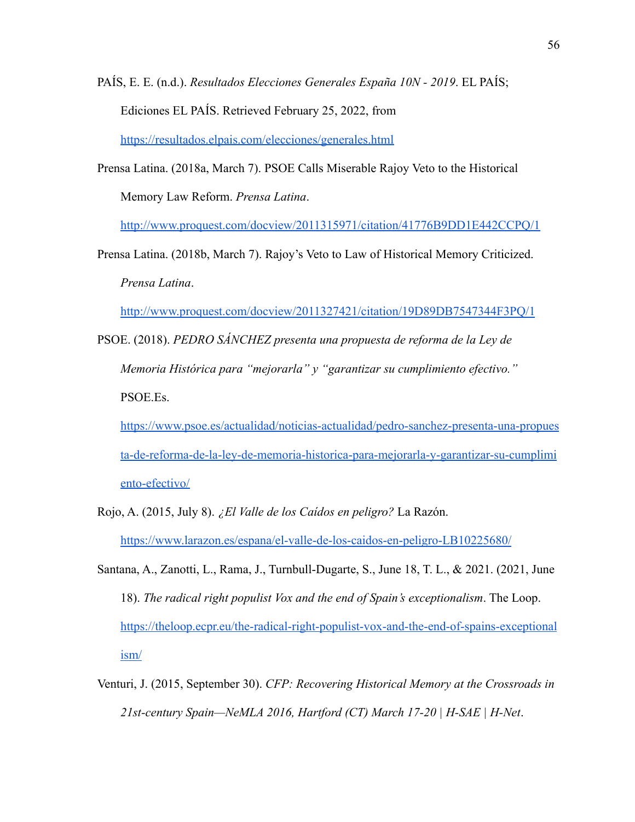PAÍS, E. E. (n.d.). *Resultados Elecciones Generales España 10N - 2019*. EL PAÍS; Ediciones EL PAÍS. Retrieved February 25, 2022, from <https://resultados.elpais.com/elecciones/generales.html>

Prensa Latina. (2018a, March 7). PSOE Calls Miserable Rajoy Veto to the Historical Memory Law Reform. *Prensa Latina*[.](http://www.proquest.com/docview/2011315971/citation/41776B9DD1E442CCPQ/1)

<http://www.proquest.com/docview/2011315971/citation/41776B9DD1E442CCPQ/1>

Prensa Latina. (2018b, March 7). Rajoy's Veto to Law of Historical Memory Criticized. *Prensa Latina*[.](http://www.proquest.com/docview/2011327421/citation/19D89DB7547344F3PQ/1)

<http://www.proquest.com/docview/2011327421/citation/19D89DB7547344F3PQ/1>

PSOE. (2018). *PEDRO SÁNCHEZ presenta una propuesta de reforma de la Ley de Memoria Histórica para "mejorarla" y "garantizar su cumplimiento efectivo."* PSOE.Es.

[https://www.psoe.es/actualidad/noticias-actualidad/pedro-sanchez-presenta-una-propues](https://www.psoe.es/actualidad/noticias-actualidad/pedro-sanchez-presenta-una-propuesta-de-reforma-de-la-ley-de-memoria-historica-para-mejorarla-y-garantizar-su-cumplimiento-efectivo/) [ta-de-reforma-de-la-ley-de-memoria-historica-para-mejorarla-y-garantizar-su-cumplimi](https://www.psoe.es/actualidad/noticias-actualidad/pedro-sanchez-presenta-una-propuesta-de-reforma-de-la-ley-de-memoria-historica-para-mejorarla-y-garantizar-su-cumplimiento-efectivo/) [ento-efectivo/](https://www.psoe.es/actualidad/noticias-actualidad/pedro-sanchez-presenta-una-propuesta-de-reforma-de-la-ley-de-memoria-historica-para-mejorarla-y-garantizar-su-cumplimiento-efectivo/)

- Rojo, A. (2015, July 8). *¿El Valle de los Caídos en peligro?* La Razón. <https://www.larazon.es/espana/el-valle-de-los-caidos-en-peligro-LB10225680/>
- Santana, A., Zanotti, L., Rama, J., Turnbull-Dugarte, S., June 18, T. L., & 2021. (2021, June 18). *The radical right populist Vox and the end of Spain's exceptionalism*. The Loop. [https://theloop.ecpr.eu/the-radical-right-populist-vox-and-the-end-of-spains-exceptional](https://theloop.ecpr.eu/the-radical-right-populist-vox-and-the-end-of-spains-exceptionalism/) [ism/](https://theloop.ecpr.eu/the-radical-right-populist-vox-and-the-end-of-spains-exceptionalism/)
- Venturi, J. (2015, September 30). *CFP: Recovering Historical Memory at the Crossroads in 21st-century Spain—NeMLA 2016, Hartford (CT) March 17-20 | H-SAE | H-Net*[.](https://networks.h-net.org/node/21311/discussions/74602/cfp-recovering-historical-memory-crossroads-21st-century-spain)